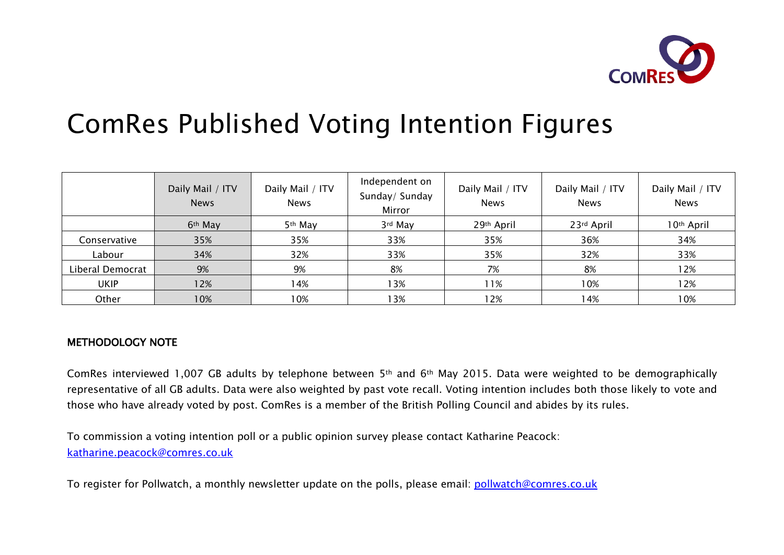

# ComRes Published Voting Intention Figures

|                  | Daily Mail / ITV<br><b>News</b> | Daily Mail / ITV<br><b>News</b> | Independent on<br>Sunday/ Sunday<br>Mirror | Daily Mail / ITV<br><b>News</b> | Daily Mail / ITV<br><b>News</b> | Daily Mail / ITV<br><b>News</b> |
|------------------|---------------------------------|---------------------------------|--------------------------------------------|---------------------------------|---------------------------------|---------------------------------|
|                  | 6 <sup>th</sup> May             | 5 <sup>th</sup> May             | 3rd May                                    | 29th April                      | 23rd April                      | 10 <sup>th</sup> April          |
| Conservative     | 35%                             | 35%                             | 33%                                        | 35%                             | 36%                             | 34%                             |
| Labour           | 34%                             | 32%                             | 33%                                        | 35%                             | 32%                             | 33%                             |
| Liberal Democrat | 9%                              | 9%                              | 8%                                         | 7%                              | 8%                              | 12%                             |
| <b>UKIP</b>      | 12%                             | 14%                             | 13%                                        | 11%                             | 10%                             | 12%                             |
| Other            | 10%                             | 10%                             | <b>3%</b>                                  | 12%                             | 14%                             | 10%                             |

#### METHODOLOGY NOTE

ComRes interviewed 1,007 GB adults by telephone between 5th and 6th May 2015. Data were weighted to be demographically representative of all GB adults. Data were also weighted by past vote recall. Voting intention includes both those likely to vote and those who have already voted by post. ComRes is a member of the British Polling Council and abides by its rules.

To commission a voting intention poll or a public opinion survey please contact Katharine Peacock: katharine.peacock@comres.co.uk

To register for Pollwatch, a monthly newsletter update on the polls, please email: pollwatch@comres.co.uk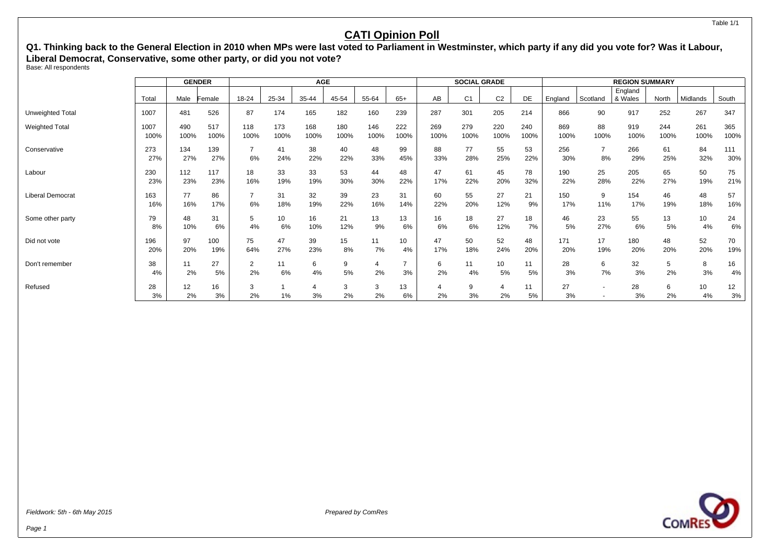**Q1. Thinking back to the General Election in 2010 when MPs were last voted to Parliament in Westminster, which party if any did you vote for? Was it Labour, Liberal Democrat, Conservative, some other party, or did you not vote?**

Base: All respondents

|                  |              |             | <b>GENDER</b> | <b>AGE</b>           |             |             |             |             |             | <b>SOCIAL GRADE</b> |                |                |             |             | <b>REGION SUMMARY</b> |                    |             |             |             |
|------------------|--------------|-------------|---------------|----------------------|-------------|-------------|-------------|-------------|-------------|---------------------|----------------|----------------|-------------|-------------|-----------------------|--------------------|-------------|-------------|-------------|
|                  | Total        | Male        | Female        | 18-24                | 25-34       | 35-44       | 45-54       | 55-64       | $65+$       | AB                  | C <sub>1</sub> | C <sub>2</sub> | DE          | England     | Scotland              | England<br>& Wales | North       | Midlands    | South       |
| Unweighted Total | 1007         | 481         | 526           | 87                   | 174         | 165         | 182         | 160         | 239         | 287                 | 301            | 205            | 214         | 866         | 90                    | 917                | 252         | 267         | 347         |
| Weighted Total   | 1007<br>100% | 490<br>100% | 517<br>100%   | 118<br>100%          | 173<br>100% | 168<br>100% | 180<br>100% | 146<br>100% | 222<br>100% | 269<br>100%         | 279<br>100%    | 220<br>100%    | 240<br>100% | 869<br>100% | 88<br>100%            | 919<br>100%        | 244<br>100% | 261<br>100% | 365<br>100% |
| Conservative     | 273<br>27%   | 134<br>27%  | 139<br>27%    | 6%                   | 41<br>24%   | 38<br>22%   | 40<br>22%   | 48<br>33%   | 99<br>45%   | 88<br>33%           | 77<br>28%      | 55<br>25%      | 53<br>22%   | 256<br>30%  | $\overline{7}$<br>8%  | 266<br>29%         | 61<br>25%   | 84<br>32%   | 111<br>30%  |
| Labour           | 230<br>23%   | 112<br>23%  | 117<br>23%    | 18<br>16%            | 33<br>19%   | 33<br>19%   | 53<br>30%   | 44<br>30%   | 48<br>22%   | 47<br>17%           | 61<br>22%      | 45<br>20%      | 78<br>32%   | 190<br>22%  | 25<br>28%             | 205<br>22%         | 65<br>27%   | 50<br>19%   | 75<br>21%   |
| Liberal Democrat | 163<br>16%   | 77<br>16%   | 86<br>17%     | 6%                   | 31<br>18%   | 32<br>19%   | 39<br>22%   | 23<br>16%   | 31<br>14%   | 60<br>22%           | 55<br>20%      | 27<br>12%      | 21<br>9%    | 150<br>17%  | 9<br>11%              | 154<br>17%         | 46<br>19%   | 48<br>18%   | 57<br>16%   |
| Some other party | 79<br>8%     | 48<br>10%   | 31<br>6%      | 5<br>4%              | 10<br>6%    | 16<br>10%   | 21<br>12%   | 13<br>9%    | 13<br>6%    | 16<br>6%            | 18<br>6%       | 27<br>12%      | 18<br>7%    | 46<br>5%    | 23<br>27%             | 55<br>6%           | 13<br>5%    | 10<br>4%    | 24<br>6%    |
| Did not vote     | 196<br>20%   | 97<br>20%   | 100<br>19%    | 75<br>64%            | 47<br>27%   | 39<br>23%   | 15<br>8%    | 11<br>7%    | 10<br>4%    | 47<br>17%           | 50<br>18%      | 52<br>24%      | 48<br>20%   | 171<br>20%  | 17<br>19%             | 180<br>20%         | 48<br>20%   | 52<br>20%   | 70<br>19%   |
| Don't remember   | 38<br>4%     | 11<br>2%    | 27<br>5%      | $\overline{2}$<br>2% | 11<br>6%    | 6<br>4%     | 9<br>5%     | 4<br>2%     | 3%          | 6<br>2%             | 11<br>4%       | 10<br>5%       | 11<br>5%    | 28<br>3%    | 6<br>7%               | 32<br>3%           | 5<br>2%     | 8<br>3%     | 16<br>4%    |
| Refused          | 28<br>3%     | 12<br>2%    | 16<br>3%      | 3<br>2%              | 1%          | 4<br>3%     | 3<br>2%     | 3<br>2%     | 13<br>6%    | 2%                  | 9<br>3%        | 2%             | 11<br>5%    | 27<br>3%    | $\overline{a}$        | 28<br>3%           | 6<br>2%     | 10<br>4%    | 12<br>3%    |



Fieldwork: 5th - 6th May 2015 **Prepared by ComPession** Prepared by ComPession Prepared by ComPession Prepared by ComPession Prepared by ComPession Prepared by ComPession Prepared by ComPession Prepared by ComPession Prepar

Table 1/1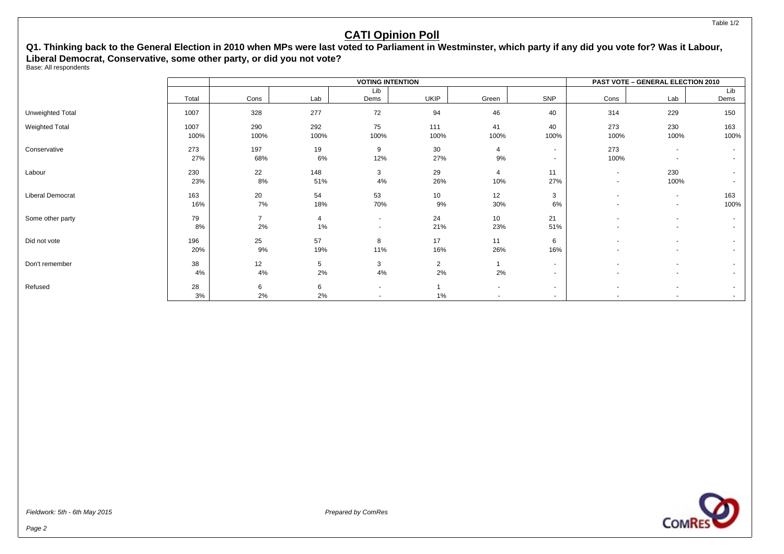#### **Q1. Thinking back to the General Election in 2010 when MPs were last voted to Parliament in Westminster, which party if any did you vote for? Was it Labour, Liberal Democrat, Conservative, some other party, or did you not vote?**

Base: All respondents

|                       |       |                |                |                       | <b>VOTING INTENTION</b> |                          |                          |                          | PAST VOTE - GENERAL ELECTION 2010 |        |
|-----------------------|-------|----------------|----------------|-----------------------|-------------------------|--------------------------|--------------------------|--------------------------|-----------------------------------|--------|
|                       |       |                |                | Lib                   |                         |                          |                          |                          |                                   | Lib    |
|                       | Total | Cons           | Lab            | Dems                  | <b>UKIP</b>             | Green                    | SNP                      | Cons                     | Lab                               | Dems   |
| Unweighted Total      | 1007  | 328            | 277            | 72                    | 94                      | 46                       | 40                       | 314                      | 229                               | 150    |
| <b>Weighted Total</b> | 1007  | 290            | 292            | 75                    | 111                     | 41                       | 40                       | 273                      | 230                               | 163    |
|                       | 100%  | 100%           | 100%           | 100%                  | 100%                    | 100%                     | 100%                     | 100%                     | 100%                              | 100%   |
| Conservative          | 273   | 197            | 19             | 9                     | 30                      | 4                        | $\sim$                   | 273                      | $\overline{\phantom{a}}$          | $\sim$ |
|                       | 27%   | 68%            | 6%             | 12%                   | 27%                     | 9%                       | $\sim$                   | 100%                     | $\overline{\phantom{a}}$          |        |
| Labour                | 230   | 22             | 148            | 3                     | 29                      | $\overline{4}$           | 11                       | $\sim$                   | 230                               |        |
|                       | 23%   | 8%             | 51%            | 4%                    | 26%                     | 10%                      | 27%                      | $\overline{\phantom{a}}$ | 100%                              |        |
| Liberal Democrat      | 163   | 20             | 54             | 53                    | 10                      | 12                       | 3                        | $\overline{\phantom{a}}$ | $\overline{\phantom{a}}$          | 163    |
|                       | 16%   | 7%             | 18%            | 70%                   | 9%                      | 30%                      | 6%                       | $\overline{\phantom{a}}$ | $\blacksquare$                    | 100%   |
| Some other party      | 79    | $\overline{7}$ | $\overline{4}$ | $\sim$                | 24                      | 10                       | 21                       | $\sim$                   | $\blacksquare$                    |        |
|                       | 8%    | 2%             | 1%             | $\tilde{\phantom{a}}$ | 21%                     | 23%                      | 51%                      |                          | $\blacksquare$                    | $\sim$ |
| Did not vote          | 196   | 25             | 57             | 8                     | 17                      | 11                       | 6                        | $\overline{\phantom{0}}$ | $\overline{a}$                    |        |
|                       | 20%   | 9%             | 19%            | 11%                   | 16%                     | 26%                      | 16%                      |                          | $\overline{\phantom{a}}$          |        |
| Don't remember        | 38    | 12             | 5              | 3                     | $\overline{2}$          | $\overline{1}$           | $\overline{\phantom{0}}$ |                          | $\overline{\phantom{a}}$          |        |
|                       | 4%    | 4%             | 2%             | 4%                    | 2%                      | 2%                       |                          |                          | $\overline{\phantom{a}}$          |        |
| Refused               | 28    | 6              | 6              | $\blacksquare$        |                         | $\overline{\phantom{a}}$ | $\overline{\phantom{0}}$ | $\overline{\phantom{a}}$ | $\blacksquare$                    |        |
|                       | 3%    | 2%             | 2%             |                       | 1%                      |                          | $\overline{\phantom{0}}$ |                          |                                   | $\sim$ |

**COMRE**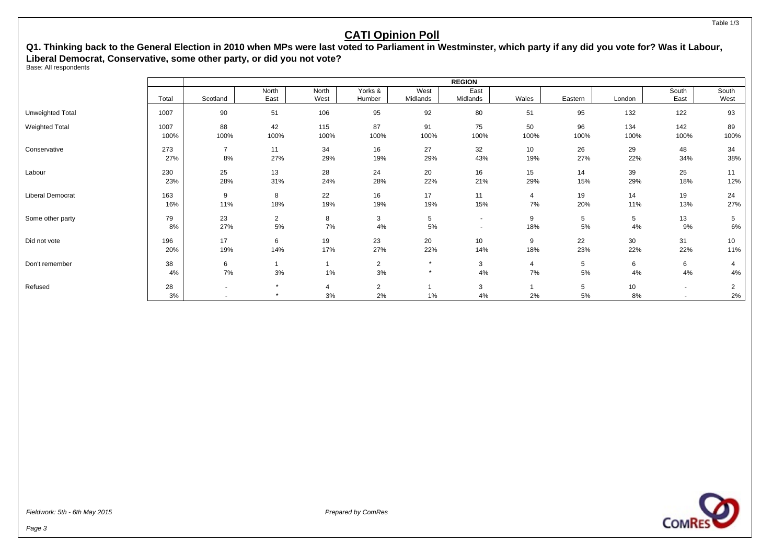#### **Q1. Thinking back to the General Election in 2010 when MPs were last voted to Parliament in Westminster, which party if any did you vote for? Was it Labour, Liberal Democrat, Conservative, some other party, or did you not vote?**

Base: All respondents

|                       |       |                          |                |       |                |          | <b>REGION</b>            |       |         |        |                          |                |
|-----------------------|-------|--------------------------|----------------|-------|----------------|----------|--------------------------|-------|---------|--------|--------------------------|----------------|
|                       |       |                          | North          | North | Yorks &        | West     | East                     |       |         |        | South                    | South          |
|                       | Total | Scotland                 | East           | West  | Humber         | Midlands | Midlands                 | Wales | Eastern | London | East                     | West           |
| Unweighted Total      | 1007  | 90                       | 51             | 106   | 95             | 92       | 80                       | 51    | 95      | 132    | 122                      | 93             |
| <b>Weighted Total</b> | 1007  | 88                       | 42             | 115   | 87             | 91       | 75                       | 50    | 96      | 134    | 142                      | 89             |
|                       | 100%  | 100%                     | 100%           | 100%  | 100%           | 100%     | 100%                     | 100%  | 100%    | 100%   | 100%                     | 100%           |
| Conservative          | 273   | $\overline{7}$           | 11             | 34    | 16             | 27       | 32                       | 10    | 26      | 29     | 48                       | 34             |
|                       | 27%   | 8%                       | 27%            | 29%   | 19%            | 29%      | 43%                      | 19%   | 27%     | 22%    | 34%                      | 38%            |
| Labour                | 230   | 25                       | 13             | 28    | 24             | 20       | 16                       | 15    | 14      | 39     | 25                       | 11             |
|                       | 23%   | 28%                      | 31%            | 24%   | 28%            | 22%      | 21%                      | 29%   | 15%     | 29%    | 18%                      | 12%            |
| Liberal Democrat      | 163   | 9                        | 8              | 22    | 16             | 17       | 11                       | 4     | 19      | 14     | 19                       | 24             |
|                       | 16%   | 11%                      | 18%            | 19%   | 19%            | 19%      | 15%                      | 7%    | 20%     | 11%    | 13%                      | 27%            |
| Some other party      | 79    | 23                       | $\overline{2}$ | 8     | 3              | 5        | $\overline{\phantom{a}}$ | 9     | 5       | 5      | 13                       | 5              |
|                       | 8%    | 27%                      | 5%             | 7%    | 4%             | 5%       | $\overline{\phantom{a}}$ | 18%   | 5%      | 4%     | 9%                       | 6%             |
| Did not vote          | 196   | 17                       | 6              | 19    | 23             | 20       | 10                       | 9     | 22      | 30     | 31                       | 10             |
|                       | 20%   | 19%                      | 14%            | 17%   | 27%            | 22%      | 14%                      | 18%   | 23%     | 22%    | 22%                      | 11%            |
| Don't remember        | 38    | 6                        |                |       | $\overline{2}$ | $\star$  | 3                        | 4     | 5       | 6      | 6                        | 4              |
|                       | 4%    | $7\%$                    | 3%             | 1%    | 3%             | $\star$  | 4%                       | 7%    | 5%      | 4%     | 4%                       | 4%             |
| Refused               | 28    | $\overline{\phantom{a}}$ | $\star$        | 4     | $\overline{2}$ |          | 3                        |       | 5       | 10     | $\sim$                   | $\overline{2}$ |
|                       | 3%    |                          | $\star$        | 3%    | 2%             | 1%       | 4%                       | 2%    | 5%      | 8%     | $\overline{\phantom{a}}$ | 2%             |



Fieldwork: 5th - 6th May 2015 **Prepared by ComPession** Prepared by ComPession Prepared by ComPession Prepared by ComPession Prepared by ComPession Prepared by ComPession Prepared by ComPession Prepared by ComPession Prepar

Table 1/3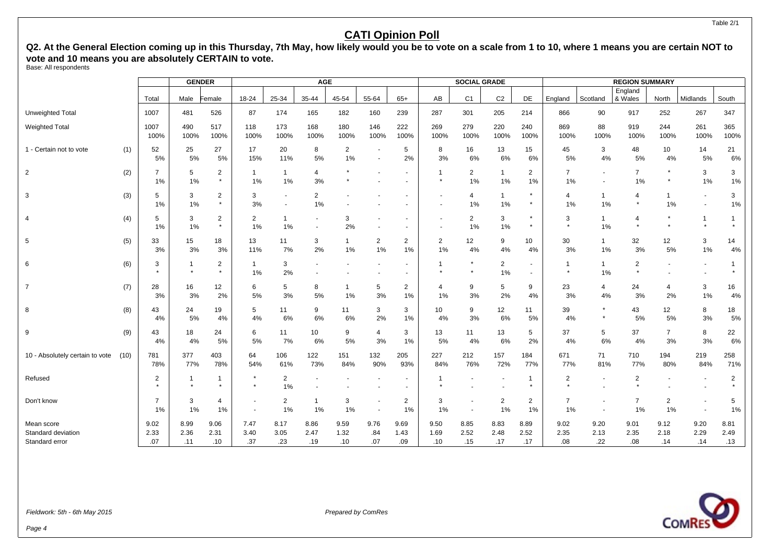Q2. At the General Election coming up in this Thursday, 7th May, how likely would you be to vote on a scale from 1 to 10, where 1 means you are certain NOT to **vote and 10 means you are absolutely CERTAIN to vote.**

Base: All respondents

|                                      |      |                           | <b>GENDER</b> |                           |                          |                      | <b>AGE</b>                                 |                      |                      |                      |                           | <b>SOCIAL GRADE</b>  |                      |                      |                           |                                                      | <b>REGION SUMMARY</b>    |                      |                                  |                |
|--------------------------------------|------|---------------------------|---------------|---------------------------|--------------------------|----------------------|--------------------------------------------|----------------------|----------------------|----------------------|---------------------------|----------------------|----------------------|----------------------|---------------------------|------------------------------------------------------|--------------------------|----------------------|----------------------------------|----------------|
|                                      |      | Total                     | Male          | Female                    | 18-24                    | 25-34                | 35-44                                      | 45-54                | 55-64                | $65+$                | AB                        | C <sub>1</sub>       | C <sub>2</sub>       | DE                   | England                   | Scotland                                             | England<br>& Wales       | North                | Midlands                         | South          |
| <b>Unweighted Total</b>              |      | 1007                      | 481           | 526                       | 87                       | 174                  | 165                                        | 182                  | 160                  | 239                  | 287                       | 301                  | 205                  | 214                  | 866                       | 90                                                   | 917                      | 252                  | 267                              | 347            |
| <b>Weighted Total</b>                |      | 1007<br>100%              | 490<br>100%   | 517<br>100%               | 118<br>100%              | 173<br>100%          | 168<br>100%                                | 180<br>100%          | 146<br>100%          | 222<br>100%          | 269<br>100%               | 279<br>100%          | 220<br>100%          | 240<br>100%          | 869<br>100%               | 88<br>100%                                           | 919<br>100%              | 244<br>100%          | 261<br>100%                      | 365<br>100%    |
| 1 - Certain not to vote              | (1)  | 52<br>5%                  | 25<br>5%      | 27<br>5%                  | 17<br>15%                | 20<br>11%            | 8<br>5%                                    | $\overline{2}$<br>1% | $\blacksquare$       | 5<br>2%              | 8<br>3%                   | 16<br>6%             | 13<br>6%             | 15<br>6%             | 45<br>5%                  | 3<br>4%                                              | 48<br>5%                 | 10<br>4%             | 14<br>5%                         | 21<br>6%       |
| 2                                    | (2)  | $\overline{7}$<br>1%      | 5<br>1%       | $\overline{2}$<br>$\star$ | $\mathbf{1}$<br>1%       | $\mathbf{1}$<br>1%   | 4<br>3%                                    |                      |                      |                      | $\mathbf{1}$<br>$\bullet$ | $\overline{2}$<br>1% | $\mathbf{1}$<br>1%   | 2<br>1%              | $\overline{7}$<br>1%      | $\overline{\phantom{a}}$<br>$\overline{\phantom{a}}$ | $\overline{7}$<br>1%     |                      | 3<br>1%                          | 3<br>1%        |
| 3                                    | (3)  | 5<br>1%                   | 3<br>1%       | $\overline{2}$<br>$\star$ | 3<br>3%                  |                      | 2<br>1%                                    |                      |                      |                      |                           | 4<br>1%              | $\mathbf{1}$<br>1%   |                      | 4<br>1%                   | $\mathbf{1}$<br>1%                                   | 4                        | $\mathbf 1$<br>1%    | $\blacksquare$<br>$\blacksquare$ | 3<br>1%        |
| $\overline{4}$                       | (4)  | 5<br>1%                   | 3<br>1%       | 2<br>$\star$              | 2<br>1%                  | $\mathbf{1}$<br>1%   | $\overline{\phantom{a}}$<br>$\blacksquare$ | 3<br>2%              |                      |                      |                           | $\overline{2}$<br>1% | 3<br>1%              | $\star$              | 3<br>$\star$              | $\mathbf{1}$<br>1%                                   | $\overline{4}$           |                      | 1<br>$\star$                     |                |
| 5                                    | (5)  | 33<br>3%                  | 15<br>3%      | 18<br>3%                  | 13<br>11%                | 11<br>7%             | 3<br>2%                                    | $\mathbf{1}$<br>1%   | $\overline{2}$<br>1% | 2<br>1%              | $\overline{2}$<br>1%      | 12<br>4%             | 9<br>4%              | 10<br>4%             | 30<br>3%                  | $\mathbf{1}$<br>1%                                   | 32<br>3%                 | 12<br>5%             | 3<br>$1\%$                       | 14<br>4%       |
| 6                                    | (6)  | 3<br>$\bullet$            | $\star$       | $\overline{2}$<br>$\star$ | $\mathbf{1}$<br>1%       | 3<br>2%              |                                            |                      |                      |                      |                           | $\star$<br>$\star$   | $\overline{2}$<br>1% |                      | -1<br>$\star$             | $\mathbf{1}$<br>1%                                   | 2<br>$\star$             |                      | $\overline{\phantom{a}}$         |                |
| $\overline{7}$                       | (7)  | 28<br>3%                  | 16<br>3%      | 12<br>2%                  | 6<br>5%                  | 5<br>3%              | 8<br>5%                                    | $\mathbf 1$<br>1%    | 5<br>3%              | $\overline{2}$<br>1% | $\overline{4}$<br>1%      | 9<br>3%              | 5<br>2%              | 9<br>4%              | 23<br>3%                  | 4<br>4%                                              | 24<br>3%                 | 4<br>2%              | 3<br>$1\%$                       | 16<br>4%       |
| 8                                    | (8)  | 43<br>4%                  | 24<br>5%      | 19<br>4%                  | 5<br>4%                  | 11<br>6%             | 9<br>6%                                    | 11<br>6%             | 3<br>2%              | 3<br>1%              | 10<br>4%                  | 9<br>3%              | 12<br>6%             | 11<br>5%             | 39<br>4%                  | $\star$                                              | 43<br>5%                 | 12<br>5%             | 8<br>3%                          | 18<br>5%       |
| 9                                    | (9)  | 43<br>4%                  | 18<br>4%      | 24<br>5%                  | 6<br>5%                  | 11<br>7%             | 10<br>6%                                   | 9<br>5%              | 4<br>3%              | 3<br>1%              | 13<br>5%                  | 11<br>4%             | 13<br>6%             | 5<br>2%              | 37<br>4%                  | 5<br>6%                                              | 37<br>4%                 | $\overline{7}$<br>3% | 8<br>3%                          | 22<br>6%       |
| 10 - Absolutely certain to vote      | (10) | 781<br>78%                | 377<br>77%    | 403<br>78%                | 64<br>54%                | 106<br>61%           | 122<br>73%                                 | 151<br>84%           | 132<br>90%           | 205<br>93%           | 227<br>84%                | 212<br>76%           | 157<br>72%           | 184<br>77%           | 671<br>77%                | 71<br>81%                                            | 710<br>77%               | 194<br>80%           | 219<br>84%                       | 258<br>71%     |
| Refused                              |      | $\overline{2}$<br>$\star$ | -1            | $\mathbf 1$<br>$\star$    | $\star$                  | $\overline{2}$<br>1% |                                            |                      |                      |                      | $\overline{1}$            | $\sim$               |                      | $\overline{1}$       | $\overline{2}$<br>$\star$ |                                                      | $\overline{2}$           |                      | $\overline{\phantom{a}}$         | $\overline{2}$ |
| Don't know                           |      | $\overline{7}$<br>1%      | 3<br>1%       | 4<br>1%                   | $\overline{\phantom{a}}$ | $\overline{2}$<br>1% | $\mathbf 1$<br>1%                          | 3<br>1%              | $\blacksquare$       | 2<br>1%              | 3<br>1%                   | $\sim$               | $\overline{2}$<br>1% | $\overline{2}$<br>1% | $\overline{7}$<br>1%      | $\sim$                                               | $\overline{7}$<br>1%     | $\overline{2}$<br>1% | $\blacksquare$                   | 5<br>1%        |
| Mean score                           |      | 9.02                      | 8.99          | 9.06                      | 7.47                     | 8.17                 | 8.86                                       | 9.59                 | 9.76                 | 9.69                 | 9.50                      | 8.85                 | 8.83                 | 8.89                 | 9.02                      | 9.20                                                 | 9.01                     | 9.12                 | 9.20                             | 8.81           |
| Standard deviation<br>Standard error |      | 2.33<br>.07               | 2.36<br>.11   | 2.31<br>.10               | 3.40<br>.37              | 3.05<br>.23          | 2.47<br>.19                                | 1.32<br>.10          | .84<br>.07           | 1.43<br>.09          | 1.69<br>.10               | 2.52<br>.15          | 2.48<br>.17          | 2.52<br>.17          | 2.35<br>.08               | 2.13<br>.22                                          | 2.35<br>.08 <sub>0</sub> | 2.18<br>.14          | 2.29<br>.14                      | 2.49<br>.13    |
|                                      |      |                           |               |                           |                          |                      |                                            |                      |                      |                      |                           |                      |                      |                      |                           |                                                      |                          |                      |                                  |                |



Page 4

Table 2/1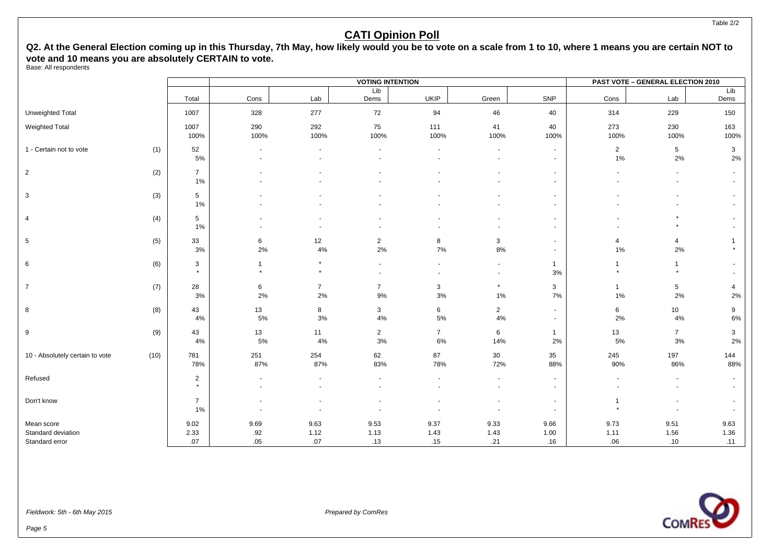Q2. At the General Election coming up in this Thursday, 7th May, how likely would you be to vote on a scale from 1 to 10, where 1 means you are certain NOT to **vote and 10 means you are absolutely CERTAIN to vote.**

Base: All respondents

|                                  |      |                           |                                    |                      | <b>VOTING INTENTION</b> |                          |                                    |                          |                         | <b>PAST VOTE - GENERAL ELECTION 2010</b> |                         |
|----------------------------------|------|---------------------------|------------------------------------|----------------------|-------------------------|--------------------------|------------------------------------|--------------------------|-------------------------|------------------------------------------|-------------------------|
|                                  |      | Total                     | Cons                               | Lab                  | Lib<br>Dems             | <b>UKIP</b>              | Green                              | SNP                      | Cons                    | Lab                                      | Lib<br>Dems             |
| Unweighted Total                 |      | 1007                      | 328                                | 277                  | 72                      | 94                       | 46                                 | 40                       | 314                     | 229                                      | 150                     |
| Weighted Total                   |      | 1007<br>100%              | 290<br>100%                        | 292<br>100%          | 75<br>100%              | 111<br>100%              | 41<br>100%                         | 40<br>100%               | 273<br>100%             | 230<br>100%                              | 163<br>100%             |
| 1 - Certain not to vote          | (1)  | 52<br>5%                  | $\overline{\phantom{a}}$<br>$\sim$ |                      | $\blacksquare$          |                          | $\blacksquare$                     | $\sim$<br>$\sim$         | $\overline{2}$<br>$1\%$ | 5<br>2%                                  | 3<br>$2\%$              |
| $\overline{2}$                   | (2)  | $\overline{7}$<br>1%      |                                    |                      |                         |                          |                                    | $\sim$<br>$\sim$         |                         | $\overline{\phantom{a}}$<br>$\sim$       |                         |
| 3                                | (3)  | $5\phantom{.0}$<br>1%     |                                    |                      |                         |                          |                                    | $\sim$<br>$\sim$         |                         |                                          |                         |
| 4                                | (4)  | $5\phantom{.0}$<br>1%     |                                    |                      |                         |                          |                                    | $\sim$<br>$\sim$         |                         |                                          |                         |
| 5                                | (5)  | 33<br>3%                  | 6<br>2%                            | 12<br>4%             | $\overline{2}$<br>2%    | 8<br>7%                  | $\mathbf{3}$<br>8%                 | $\sim$<br>$\sim$         | 4<br>$1\%$              | $\overline{4}$<br>2%                     |                         |
| 6                                | (6)  | 3<br>$\star$              | $\overline{1}$<br>$\star$          | $\pmb{\ast}$         | $\blacksquare$          | $\overline{\phantom{a}}$ | $\sim$<br>$\overline{\phantom{a}}$ | $\mathbf{1}$<br>3%       | $\mathbf{1}$<br>$\star$ | $\mathbf{1}$<br>$\star$                  |                         |
| $\overline{7}$                   | (7)  | 28<br>3%                  | 6<br>2%                            | $\overline{7}$<br>2% | $\overline{7}$<br>9%    | 3<br>$3%$                | $\star$<br>$1\%$                   | 3<br>$7\%$               | $\mathbf{1}$<br>$1\%$   | $\,$ 5 $\,$<br>2%                        | $\overline{4}$<br>$2\%$ |
| 8                                | (8)  | 43<br>4%                  | 13<br>5%                           | 8<br>3%              | 3<br>4%                 | 6<br>$5\%$               | $\overline{2}$<br>4%               | $\sim$<br>$\sim$         | 6<br>2%                 | 10<br>4%                                 | 9<br>$6\%$              |
| 9                                | (9)  | 43<br>4%                  | 13<br>5%                           | 11<br>4%             | $\overline{2}$<br>3%    | $\overline{7}$<br>$6\%$  | 6<br>14%                           | $\mathbf{1}$<br>2%       | 13<br>$5\%$             | $\overline{7}$<br>3%                     | 3<br>$2\%$              |
| 10 - Absolutely certain to vote  | (10) | 781<br>78%                | 251<br>87%                         | 254<br>87%           | 62<br>83%               | 87<br>78%                | 30 <sup>°</sup><br>72%             | 35<br>88%                | 245<br>90%              | 197<br>86%                               | 144<br>88%              |
| Refused                          |      | $\overline{2}$<br>$\star$ | $\blacksquare$                     |                      |                         |                          | $\sim$                             | $\sim$<br>$\sim$         |                         | $\blacksquare$                           |                         |
| Don't know                       |      | $\overline{7}$<br>1%      |                                    |                      |                         |                          |                                    | $\blacksquare$<br>$\sim$ | 1<br>$\star$            | $\overline{\phantom{a}}$                 |                         |
| Mean score<br>Standard deviation |      | 9.02<br>2.33              | 9.69<br>.92                        | 9.63<br>1.12         | 9.53<br>1.13            | 9.37<br>1.43             | 9.33<br>1.43                       | 9.66<br>1.00             | 9.73<br>1.11            | 9.51<br>1.56                             | 9.63<br>1.36            |
| Standard error                   |      | .07                       | .05                                | .07                  | .13                     | .15                      | .21                                | .16                      | .06                     | .10                                      | .11                     |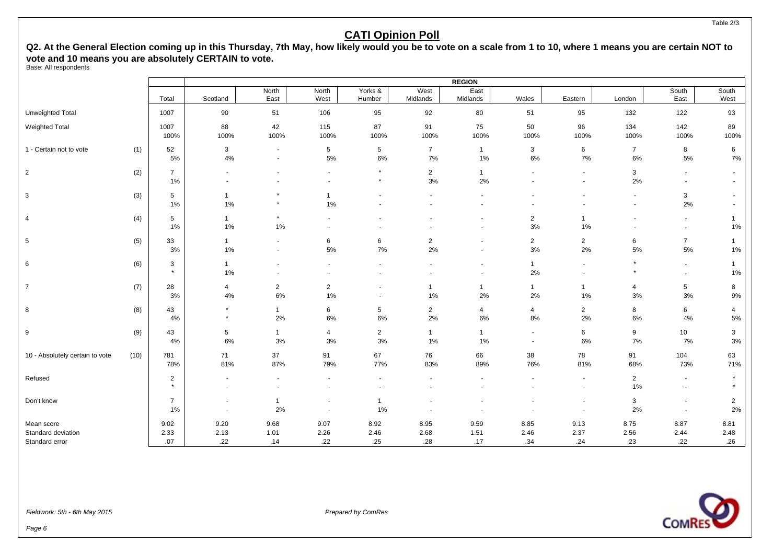Q2. At the General Election coming up in this Thursday, 7th May, how likely would you be to vote on a scale from 1 to 10, where 1 means you are certain NOT to **vote and 10 means you are absolutely CERTAIN to vote.**

Base: All respondents

|                                                    |      |                           |                                            |                      |                                            |                       |                         | <b>REGION</b>            |                      |                       |                          |                                            |                                  |
|----------------------------------------------------|------|---------------------------|--------------------------------------------|----------------------|--------------------------------------------|-----------------------|-------------------------|--------------------------|----------------------|-----------------------|--------------------------|--------------------------------------------|----------------------------------|
|                                                    |      | Total                     | Scotland                                   | North<br>East        | North<br>West                              | Yorks &<br>Humber     | West<br>Midlands        | East<br>Midlands         | Wales                | Eastern               | London                   | South<br>East                              | South<br>West                    |
| Unweighted Total                                   |      | 1007                      | 90                                         | 51                   | 106                                        | 95                    | 92                      | 80                       | 51                   | 95                    | 132                      | 122                                        | 93                               |
| <b>Weighted Total</b>                              |      | 1007<br>100%              | 88<br>100%                                 | 42<br>100%           | 115<br>100%                                | 87<br>100%            | 91<br>100%              | 75<br>100%               | 50<br>100%           | 96<br>100%            | 134<br>100%              | 142<br>100%                                | 89<br>100%                       |
| 1 - Certain not to vote                            | (1)  | 52<br>5%                  | $\mathbf{3}$<br>4%                         | $\sim$<br>$\sim$     | $\sqrt{5}$<br>5%                           | 5<br>6%               | $\overline{7}$<br>7%    | $\mathbf{1}$<br>$1\%$    | 3<br>6%              | 6<br>$7\%$            | $\overline{7}$<br>6%     | 8<br>5%                                    | 6<br>7%                          |
| $\overline{2}$                                     | (2)  | $\overline{7}$<br>1%      | $\sim$                                     |                      | $\overline{a}$<br>$\overline{\phantom{a}}$ | $\star$<br>$\star$    | $\overline{2}$<br>3%    | $\mathbf{1}$<br>2%       |                      | $\sim$<br>$\sim$      | $\mathbf{3}$<br>2%       | $\blacksquare$<br>$\blacksquare$           | $\blacksquare$<br>$\blacksquare$ |
| 3                                                  | (3)  | 5<br>1%                   | $\overline{1}$<br>$1\%$                    | $\star$              | $\mathbf{1}$<br>1%                         |                       |                         |                          |                      |                       | $\blacksquare$<br>$\sim$ | 3<br>2%                                    |                                  |
| 4                                                  | (4)  | 5<br>1%                   | $\mathbf{1}$<br>$1\%$                      | $\star$<br>1%        |                                            |                       |                         | $\sim$                   | $\overline{2}$<br>3% | 1<br>$1\%$            |                          | $\blacksquare$<br>$\overline{\phantom{a}}$ | 1%                               |
| 5                                                  | (5)  | 33<br>3%                  | $\mathbf{1}$<br>1%                         | $\blacksquare$       | 6<br>5%                                    | 6<br>$7\%$            | $\overline{2}$<br>2%    | $\blacksquare$<br>$\sim$ | $\overline{2}$<br>3% | $\overline{2}$<br>2%  | 6<br>5%                  | $\overline{7}$<br>$5\%$                    | $\mathbf{1}$<br>$1\%$            |
| 6                                                  | (6)  | 3<br>$\star$              | $\mathbf{1}$<br>1%                         |                      |                                            |                       |                         | $\blacksquare$           | $\mathbf{1}$<br>2%   | $\sim$<br>$\sim$      | $\star$<br>$\star$       | $\sim$<br>$\sim$                           | $\overline{1}$<br>$1\%$          |
| $\overline{7}$                                     | (7)  | 28<br>3%                  | $\overline{4}$<br>4%                       | $\overline{2}$<br>6% | $\overline{2}$<br>1%                       | $\sim$                | $\overline{1}$<br>1%    | $\overline{1}$<br>2%     | $\overline{1}$<br>2% | $\mathbf{1}$<br>$1\%$ | $\overline{4}$<br>3%     | $5\phantom{.0}$<br>$3%$                    | 8<br>9%                          |
| 8                                                  | (8)  | 43<br>4%                  | $\star$<br>$\star$                         | $\overline{1}$<br>2% | 6<br>6%                                    | 5<br>6%               | $\overline{2}$<br>$2\%$ | 4<br>6%                  | $\overline{4}$<br>8% | $\overline{2}$<br>2%  | 8<br>6%                  | 6<br>$4\%$                                 | 4<br>5%                          |
| 9                                                  | (9)  | 43<br>4%                  | $5\phantom{.0}$<br>6%                      | $\mathbf{1}$<br>3%   | $\overline{4}$<br>3%                       | $\overline{2}$<br>3%  | $\mathbf{1}$<br>$1\%$   | $\mathbf{1}$<br>1%       | $\blacksquare$       | 6<br>6%               | 9<br>7%                  | 10<br>7%                                   | 3<br>3%                          |
| 10 - Absolutely certain to vote                    | (10) | 781<br>78%                | 71<br>81%                                  | 37<br>87%            | 91<br>79%                                  | 67<br>77%             | 76<br>83%               | 66<br>89%                | 38<br>76%            | 78<br>81%             | 91<br>68%                | 104<br>73%                                 | 63<br>71%                        |
| Refused                                            |      | $\overline{2}$<br>$\star$ | $\sim$                                     | $\sim$               |                                            | $\sim$                | $\sim$                  | $\sim$                   |                      | $\sim$                | $\overline{2}$<br>1%     | $\sim$<br>$\blacksquare$                   | $\star$                          |
| Don't know                                         |      | $\overline{7}$<br>1%      | $\overline{\phantom{a}}$<br>$\blacksquare$ | $\mathbf 1$<br>2%    | $\sim$                                     | $\mathbf{1}$<br>$1\%$ |                         |                          |                      |                       | 3<br>2%                  | $\overline{\phantom{a}}$<br>$\sim$         | $\overline{2}$<br>2%             |
| Mean score<br>Standard deviation<br>Standard error |      | 9.02<br>2.33<br>.07       | 9.20<br>2.13<br>.22                        | 9.68<br>1.01<br>.14  | 9.07<br>2.26<br>.22                        | 8.92<br>2.46<br>.25   | 8.95<br>2.68<br>.28     | 9.59<br>1.51<br>.17      | 8.85<br>2.46<br>.34  | 9.13<br>2.37<br>.24   | 8.75<br>2.56<br>.23      | 8.87<br>2.44<br>.22                        | 8.81<br>2.48<br>.26              |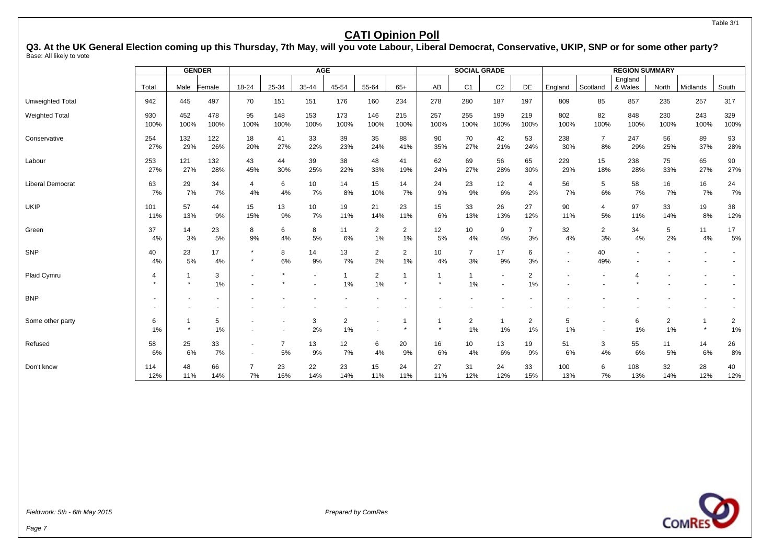Table 3/1

#### **CATI Opinion Poll**

**Q3. At the UK General Election coming up this Thursday, 7th May, will you vote Labour, Liberal Democrat, Conservative, UKIP, SNP or for some other party?** Base: All likely to vote

|                         |             | <b>GENDER</b>  |                |                      |                      | <b>AGE</b>  |                      |                      |                      |             | <b>SOCIAL GRADE</b>  |                    |                      |                          |                                    | <b>REGION SUMMARY</b> |                      |                                     |             |
|-------------------------|-------------|----------------|----------------|----------------------|----------------------|-------------|----------------------|----------------------|----------------------|-------------|----------------------|--------------------|----------------------|--------------------------|------------------------------------|-----------------------|----------------------|-------------------------------------|-------------|
|                         | Total       | Male           | Female         | 18-24                | 25-34                | 35-44       | 45-54                | 55-64                | $65+$                | AB          | C <sub>1</sub>       | C <sub>2</sub>     | DE                   | England                  | Scotland                           | England<br>& Wales    | North                | Midlands                            | South       |
| Unweighted Total        | 942         | 445            | 497            | 70                   | 151                  | 151         | 176                  | 160                  | 234                  | 278         | 280                  | 187                | 197                  | 809                      | 85                                 | 857                   | 235                  | 257                                 | 317         |
| <b>Weighted Total</b>   | 930<br>100% | 452<br>100%    | 478<br>100%    | 95<br>100%           | 148<br>100%          | 153<br>100% | 173<br>100%          | 146<br>100%          | 215<br>100%          | 257<br>100% | 255<br>100%          | 199<br>100%        | 219<br>100%          | 802<br>100%              | 82<br>100%                         | 848<br>100%           | 230<br>100%          | 243<br>100%                         | 329<br>100% |
| Conservative            | 254<br>27%  | 132<br>29%     | 122<br>26%     | 18<br>20%            | 41<br>27%            | 33<br>22%   | 39<br>23%            | 35<br>24%            | 88<br>41%            | 90<br>35%   | 70<br>27%            | 42<br>21%          | 53<br>24%            | 238<br>30%               | $\overline{7}$<br>8%               | 247<br>29%            | 56<br>25%            | 89<br>37%                           | 93<br>28%   |
| Labour                  | 253<br>27%  | 121<br>27%     | 132<br>28%     | 43<br>45%            | 44<br>30%            | 39<br>25%   | 38<br>22%            | 48<br>33%            | 41<br>19%            | 62<br>24%   | 69<br>27%            | 56<br>28%          | 65<br>30%            | 229<br>29%               | 15<br>18%                          | 238<br>28%            | 75<br>33%            | 65<br>27%                           | 90<br>27%   |
| <b>Liberal Democrat</b> | 63<br>7%    | 29<br>7%       | 34<br>7%       | $\overline{4}$<br>4% | 6<br>4%              | 10<br>7%    | 14<br>8%             | 15<br>10%            | 14<br>7%             | 24<br>9%    | 23<br>9%             | 12<br>6%           | 4<br>2%              | 56<br>7%                 | 5<br>6%                            | 58<br>7%              | 16<br>7%             | 16<br>7%                            | 24<br>7%    |
| <b>UKIP</b>             | 101<br>11%  | 57<br>13%      | 44<br>9%       | 15<br>15%            | 13<br>9%             | 10<br>7%    | 19<br>11%            | 21<br>14%            | 23<br>11%            | 15<br>6%    | 33<br>13%            | 26<br>13%          | 27<br>12%            | 90<br>11%                | 4<br>5%                            | 97<br>11%             | 33<br>14%            | 19<br>8%                            | 38<br>12%   |
| Green                   | 37<br>4%    | 14<br>3%       | 23<br>5%       | 8<br>9%              | 6<br>4%              | 8<br>5%     | 11<br>6%             | $\overline{2}$<br>1% | $\overline{2}$<br>1% | 12<br>5%    | 10<br>4%             | 9<br>4%            | $\overline{7}$<br>3% | 32<br>4%                 | $\overline{2}$<br>3%               | 34<br>4%              | 5<br>2%              | 11<br>4%                            | 17<br>5%    |
| SNP                     | 40<br>4%    | 23<br>5%       | 17<br>4%       | $\star$              | 8<br>6%              | 14<br>9%    | 13<br>7%             | $\overline{2}$<br>2% | $\overline{2}$<br>1% | 10<br>4%    | $\overline{7}$<br>3% | 17<br>9%           | 6<br>3%              | $\blacksquare$<br>$\sim$ | 40<br>49%                          |                       |                      |                                     |             |
| Plaid Cymru             | 4           | $\star$        | 3<br>1%        |                      |                      |             | 1<br>1%              | $\overline{2}$<br>1% | $\star$              | -1          | $\mathbf 1$<br>1%    | $\blacksquare$     | 2<br>1%              |                          |                                    |                       |                      |                                     |             |
| <b>BNP</b>              |             | $\blacksquare$ | $\blacksquare$ |                      |                      |             |                      |                      |                      |             |                      |                    |                      |                          |                                    |                       |                      |                                     |             |
| Some other party        | 6<br>1%     | $\star$        | 5<br>1%        |                      |                      | 3<br>2%     | $\overline{2}$<br>1% |                      | -1<br>$\star$        | -1          | $\overline{2}$<br>1% | $\mathbf{1}$<br>1% | 2<br>1%              | 5<br>1%                  | $\overline{\phantom{a}}$<br>$\sim$ | 6<br>1%               | $\overline{2}$<br>1% | $\overline{\phantom{a}}$<br>$\star$ | 2<br>1%     |
| Refused                 | 58<br>6%    | 25<br>6%       | 33<br>7%       | $\blacksquare$       | $\overline{7}$<br>5% | 13<br>9%    | 12<br>7%             | 6<br>4%              | 20<br>9%             | 16<br>6%    | 10<br>4%             | 13<br>6%           | 19<br>9%             | 51<br>6%                 | 3<br>4%                            | 55<br>6%              | 11<br>5%             | 14<br>6%                            | 26<br>8%    |
| Don't know              | 114<br>12%  | 48<br>11%      | 66<br>14%      | 7<br>7%              | 23<br>16%            | 22<br>14%   | 23<br>14%            | 15<br>11%            | 24<br>11%            | 27<br>11%   | 31<br>12%            | 24<br>12%          | 33<br>15%            | 100<br>13%               | 6<br>7%                            | 108<br>13%            | 32<br>14%            | 28<br>12%                           | 40<br>12%   |

**COMRE**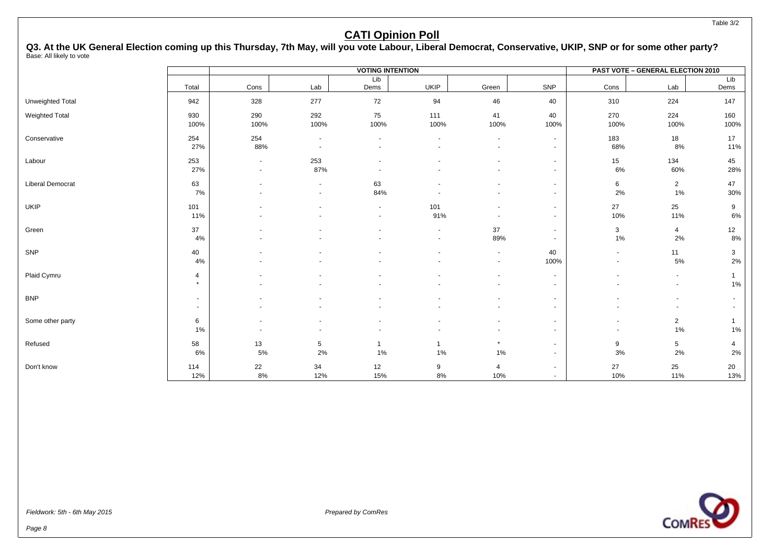#### Table 3/2

#### **CATI Opinion Poll**

**Q3. At the UK General Election coming up this Thursday, 7th May, will you vote Labour, Liberal Democrat, Conservative, UKIP, SNP or for some other party?** Base: All likely to vote

|                         |                           |                          |                                                      | <b>VOTING INTENTION</b> |                          |                  |                                            |                                    | PAST VOTE - GENERAL ELECTION 2010 |                       |
|-------------------------|---------------------------|--------------------------|------------------------------------------------------|-------------------------|--------------------------|------------------|--------------------------------------------|------------------------------------|-----------------------------------|-----------------------|
|                         | Total                     | Cons                     | Lab                                                  | Lib<br>Dems             | <b>UKIP</b>              | Green            | SNP                                        | Cons                               | Lab                               | Lib<br>Dems           |
| Unweighted Total        | 942                       | 328                      | 277                                                  | 72                      | 94                       | 46               | 40                                         | 310                                | 224                               | 147                   |
| <b>Weighted Total</b>   | 930<br>100%               | 290<br>100%              | 292<br>100%                                          | 75<br>100%              | 111<br>100%              | 41<br>100%       | 40<br>100%                                 | 270<br>100%                        | 224<br>100%                       | 160<br>100%           |
| Conservative            | 254<br>27%                | 254<br>88%               | $\overline{\phantom{a}}$<br>$\blacksquare$           |                         | $\blacksquare$           | $\sim$           | $\sim$<br>$\sim$                           | 183<br>68%                         | 18<br>8%                          | 17<br>11%             |
| Labour                  | 253<br>27%                | $\sim$<br>$\sim$         | 253<br>87%                                           |                         |                          |                  | $\sim$<br>$\sim$                           | 15<br>6%                           | 134<br>60%                        | 45<br>28%             |
| <b>Liberal Democrat</b> | 63<br>7%                  |                          | $\overline{\phantom{a}}$<br>$\overline{\phantom{a}}$ | 63<br>84%               |                          |                  | $\blacksquare$<br>$\sim$                   | 6<br>2%                            | $\overline{2}$<br>$1\%$           | 47<br>30%             |
| UKIP                    | 101<br>11%                |                          |                                                      | $\sim$                  | 101<br>91%               |                  | $\sim$<br>$\sim$                           | 27<br>10%                          | 25<br>11%                         | 9<br>6%               |
| Green                   | 37<br>4%                  |                          |                                                      |                         | $\overline{\phantom{a}}$ | 37<br>89%        | $\blacksquare$<br>$\sim$                   | 3<br>1%                            | $\overline{4}$<br>2%              | 12<br>8%              |
| SNP                     | 40<br>4%                  |                          |                                                      |                         | $\overline{\phantom{a}}$ | $\sim$<br>$\sim$ | 40<br>100%                                 | $\blacksquare$<br>$\sim$           | 11<br>5%                          | 3<br>2%               |
| Plaid Cymru             | $\overline{4}$<br>$\star$ |                          |                                                      |                         |                          |                  | $\blacksquare$<br>$\sim$                   |                                    | $\overline{\phantom{a}}$          | 1<br>$1\%$            |
| <b>BNP</b>              | $\sim$<br>$\sim$          |                          |                                                      |                         |                          |                  | $\blacksquare$<br>$\overline{\phantom{a}}$ |                                    |                                   | $\sim$<br>$\sim$      |
| Some other party        | 6<br>$1\%$                | $\overline{\phantom{a}}$ |                                                      |                         |                          |                  | $\sim$<br>$\sim$                           | $\overline{\phantom{a}}$<br>$\sim$ | $\overline{2}$<br>1%              | $\mathbf{1}$<br>$1\%$ |
| Refused                 | 58<br>6%                  | 13<br>5%                 | 5<br>2%                                              | $\mathbf{1}$<br>1%      | $\mathbf{1}$<br>1%       | $\star$<br>$1\%$ | $\sim$<br>$\blacksquare$                   | 9<br>3%                            | 5<br>2%                           | 4<br>2%               |
| Don't know              | 114<br>12%                | 22<br>8%                 | 34<br>12%                                            | 12<br>15%               | 9<br>8%                  | 4<br>10%         | $\blacksquare$<br>$\sim$                   | 27<br>10%                          | 25<br>11%                         | $20\,$<br>13%         |

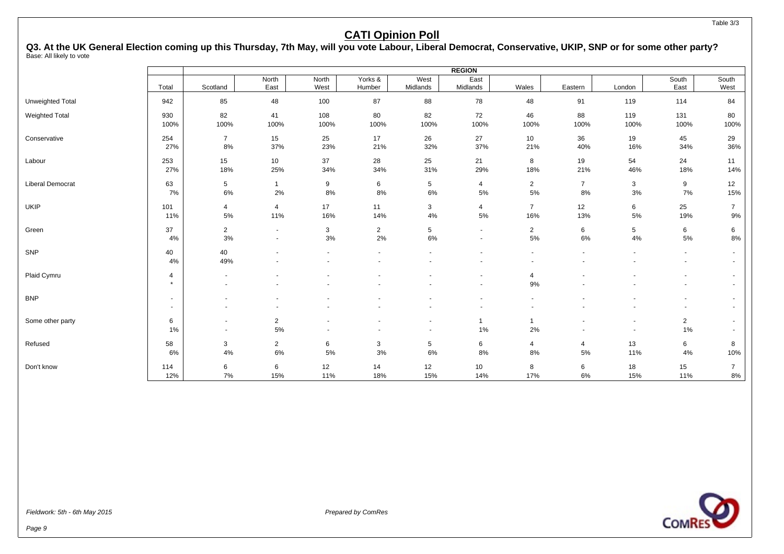Table 3/3

#### **CATI Opinion Poll**

**Q3. At the UK General Election coming up this Thursday, 7th May, will you vote Labour, Liberal Democrat, Conservative, UKIP, SNP or for some other party?** Base: All likely to vote

|                         |                                    |                                                      |                                  |                |                          |                                                      | <b>REGION</b>                              |                                            |                          |                                                      |                                            |                  |
|-------------------------|------------------------------------|------------------------------------------------------|----------------------------------|----------------|--------------------------|------------------------------------------------------|--------------------------------------------|--------------------------------------------|--------------------------|------------------------------------------------------|--------------------------------------------|------------------|
|                         | Total                              | Scotland                                             | North<br>East                    | North<br>West  | Yorks &<br>Humber        | West<br>Midlands                                     | East<br>Midlands                           | Wales                                      | Eastern                  | London                                               | South<br>East                              | South<br>West    |
| Unweighted Total        | 942                                | 85                                                   | 48                               | 100            | 87                       | 88                                                   | 78                                         | 48                                         | 91                       | 119                                                  | 114                                        | 84               |
| Weighted Total          | 930                                | 82                                                   | 41                               | 108            | 80                       | 82                                                   | 72                                         | 46                                         | 88                       | 119                                                  | 131                                        | 80               |
|                         | 100%                               | 100%                                                 | 100%                             | 100%           | 100%                     | 100%                                                 | 100%                                       | 100%                                       | 100%                     | 100%                                                 | 100%                                       | 100%             |
| Conservative            | 254                                | $\overline{7}$                                       | 15                               | 25             | 17                       | 26                                                   | 27                                         | 10                                         | 36                       | 19                                                   | 45                                         | 29               |
|                         | 27%                                | 8%                                                   | 37%                              | 23%            | 21%                      | 32%                                                  | 37%                                        | 21%                                        | 40%                      | 16%                                                  | 34%                                        | 36%              |
| Labour                  | 253                                | 15                                                   | 10                               | 37             | 28                       | 25                                                   | 21                                         | 8                                          | 19                       | 54                                                   | 24                                         | 11               |
|                         | 27%                                | 18%                                                  | 25%                              | 34%            | 34%                      | 31%                                                  | 29%                                        | 18%                                        | 21%                      | 46%                                                  | 18%                                        | 14%              |
| <b>Liberal Democrat</b> | 63                                 | $5\phantom{.0}$                                      | $\mathbf{1}$                     | 9              | 6                        | $5\phantom{.0}$                                      | $\overline{4}$                             | $\overline{2}$                             | $\overline{7}$           | 3                                                    | 9                                          | 12               |
|                         | 7%                                 | 6%                                                   | 2%                               | 8%             | 8%                       | 6%                                                   | 5%                                         | 5%                                         | 8%                       | 3%                                                   | 7%                                         | 15%              |
| <b>UKIP</b>             | 101                                | $\overline{4}$                                       | $\overline{4}$                   | 17             | 11                       | 3                                                    | $\overline{4}$                             | $\overline{7}$                             | 12                       | 6                                                    | 25                                         | $\overline{7}$   |
|                         | 11%                                | 5%                                                   | 11%                              | 16%            | 14%                      | 4%                                                   | 5%                                         | 16%                                        | 13%                      | 5%                                                   | 19%                                        | $9%$             |
| Green                   | 37                                 | $\overline{2}$                                       | $\sim$                           | 3              | $\overline{2}$           | 5                                                    | $\blacksquare$                             | $\overline{2}$                             | 6                        | 5                                                    | 6                                          | 6                |
|                         | 4%                                 | 3%                                                   | $\overline{\phantom{a}}$         | 3%             | 2%                       | 6%                                                   | $\overline{\phantom{a}}$                   | 5%                                         | $6\%$                    | 4%                                                   | 5%                                         | 8%               |
| SNP                     | 40<br>$4\%$                        | 40<br>49%                                            | $\blacksquare$<br>$\blacksquare$ | $\blacksquare$ | $\blacksquare$<br>$\sim$ | $\blacksquare$                                       | $\blacksquare$<br>$\overline{\phantom{a}}$ | $\blacksquare$<br>$\overline{\phantom{a}}$ | $\overline{\phantom{a}}$ | $\blacksquare$                                       | $\overline{\phantom{a}}$<br>$\blacksquare$ | $\sim$<br>$\sim$ |
| Plaid Cymru             | $\overline{4}$<br>$\star$          | $\overline{\phantom{a}}$                             |                                  |                |                          |                                                      | $\overline{\phantom{a}}$<br>۰              | $\overline{4}$<br>9%                       |                          |                                                      |                                            | $\sim$<br>$\sim$ |
| <b>BNP</b>              | $\sim$<br>$\overline{\phantom{a}}$ | $\overline{\phantom{a}}$<br>$\overline{\phantom{a}}$ |                                  |                |                          |                                                      | $\blacksquare$<br>$\overline{\phantom{a}}$ | $\overline{\phantom{a}}$                   |                          |                                                      | $\blacksquare$<br>$\overline{\phantom{a}}$ | $\sim$<br>$\sim$ |
| Some other party        | 6<br>1%                            | $\overline{\phantom{a}}$<br>$\overline{\phantom{a}}$ | $\overline{2}$<br>5%             |                |                          | $\overline{\phantom{a}}$<br>$\overline{\phantom{a}}$ | -1<br>1%                                   | $\overline{1}$<br>2%                       |                          | $\overline{\phantom{a}}$<br>$\overline{\phantom{a}}$ | $\overline{2}$<br>$1\%$                    | $\sim$<br>$\sim$ |
| Refused                 | 58                                 | 3                                                    | $\overline{2}$                   | 6              | 3                        | $\sqrt{5}$                                           | 6                                          | 4                                          | 4                        | 13                                                   | 6                                          | 8                |
|                         | 6%                                 | 4%                                                   | 6%                               | 5%             | 3%                       | 6%                                                   | 8%                                         | 8%                                         | 5%                       | 11%                                                  | 4%                                         | 10%              |
| Don't know              | 114                                | 6                                                    | 6                                | 12             | 14                       | 12                                                   | 10                                         | 8                                          | 6                        | 18                                                   | 15                                         | $\overline{7}$   |
|                         | 12%                                | 7%                                                   | 15%                              | 11%            | 18%                      | 15%                                                  | 14%                                        | 17%                                        | 6%                       | 15%                                                  | 11%                                        | $8\%$            |

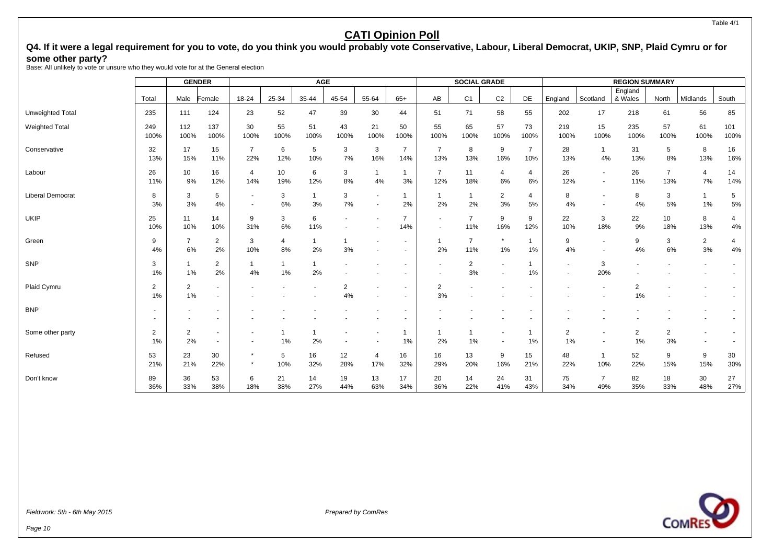Table 4/1

#### **CATI Opinion Poll**

#### Q4. If it were a legal requirement for you to vote, do you think you would probably vote Conservative, Labour, Liberal Democrat, UKIP, SNP, Plaid Cymru or for **some other party?**

Base: All unlikely to vote or unsure who they would vote for at the General election

|                         |                      | <b>GENDER</b>        |                                  |                       |            | <b>AGE</b>           |            |                       |                       |                                            | <b>SOCIAL GRADE</b>   |                          |                       |                                    |                          | <b>REGION SUMMARY</b> |                       |                      |                      |
|-------------------------|----------------------|----------------------|----------------------------------|-----------------------|------------|----------------------|------------|-----------------------|-----------------------|--------------------------------------------|-----------------------|--------------------------|-----------------------|------------------------------------|--------------------------|-----------------------|-----------------------|----------------------|----------------------|
|                         | Total                | Male                 | Female                           | 18-24                 | 25-34      | 35-44                | 45-54      | 55-64                 | $65+$                 | AB                                         | C <sub>1</sub>        | C <sub>2</sub>           | DE                    | England                            | Scotland                 | England<br>& Wales    | North                 | Midlands             | South                |
| Unweighted Total        | 235                  | 111                  | 124                              | 23                    | 52         | 47                   | 39         | 30                    | 44                    | 51                                         | 71                    | 58                       | 55                    | 202                                | 17                       | 218                   | 61                    | 56                   | 85                   |
| <b>Weighted Total</b>   | 249<br>100%          | 112<br>100%          | 137<br>100%                      | 30<br>100%            | 55<br>100% | 51<br>100%           | 43<br>100% | 21<br>100%            | 50<br>100%            | 55<br>100%                                 | 65<br>100%            | 57<br>100%               | 73<br>100%            | 219<br>100%                        | 15<br>100%               | 235<br>100%           | 57<br>100%            | 61<br>100%           | 101<br>100%          |
| Conservative            | 32<br>13%            | 17<br>15%            | 15<br>11%                        | $\overline{7}$<br>22% | 6<br>12%   | 5<br>10%             | 3<br>7%    | 3<br>16%              | $\overline{7}$<br>14% | $\overline{7}$<br>13%                      | 8<br>13%              | 9<br>16%                 | $\overline{7}$<br>10% | 28<br>13%                          | $\mathbf{1}$<br>4%       | 31<br>13%             | 5<br>8%               | 8<br>13%             | 16<br>16%            |
| Labour                  | 26<br>11%            | 10<br>9%             | 16<br>12%                        | $\overline{4}$<br>14% | 10<br>19%  | 6<br>12%             | 3<br>8%    | $\overline{1}$<br>4%  | 1<br>3%               | $\overline{7}$<br>12%                      | 11<br>18%             | $\overline{4}$<br>6%     | 4<br>6%               | 26<br>12%                          | $\sim$<br>$\blacksquare$ | 26<br>11%             | $\overline{7}$<br>13% | 4<br>7%              | 14<br>14%            |
| <b>Liberal Democrat</b> | 8<br>3%              | 3<br>3%              | 5<br>4%                          |                       | 3<br>6%    | $\mathbf{1}$<br>3%   | 3<br>7%    | $\sim$                | $\mathbf 1$<br>2%     | $\mathbf{1}$<br>2%                         | $\mathbf{1}$<br>2%    | 2<br>3%                  | 4<br>5%               | 8<br>4%                            | $\overline{\phantom{a}}$ | 8<br>4%               | 3<br>5%               | $\mathbf{1}$<br>1%   | 5<br>5%              |
| UKIP                    | 25<br>10%            | 11<br>10%            | 14<br>10%                        | 9<br>31%              | 3<br>6%    | 6<br>11%             |            |                       | $\overline{7}$<br>14% | $\overline{\phantom{a}}$<br>$\blacksquare$ | $\overline{7}$<br>11% | 9<br>16%                 | 9<br>12%              | 22<br>10%                          | 3<br>18%                 | 22<br>9%              | 10<br>18%             | 8<br>13%             | $\overline{4}$<br>4% |
| Green                   | 9<br>4%              | $\overline{7}$<br>6% | $\overline{2}$<br>2%             | 3<br>10%              | 4<br>8%    | $\overline{1}$<br>2% | 3%         |                       |                       | $\mathbf{1}$<br>2%                         | $\overline{7}$<br>11% | $\star$<br>1%            | 1<br>1%               | 9<br>4%                            | $\sim$                   | 9<br>4%               | 3<br>6%               | $\overline{2}$<br>3% | 4%                   |
| SNP                     | 3<br>1%              | 1%                   | $\overline{2}$<br>2%             | 1<br>4%               | 1%         | 1<br>2%              |            |                       |                       |                                            | $\overline{2}$<br>3%  | $\overline{\phantom{a}}$ | 1%                    | $\overline{\phantom{a}}$<br>$\sim$ | 3<br>20%                 |                       |                       |                      |                      |
| Plaid Cymru             | $\overline{2}$<br>1% | 2<br>1%              | $\blacksquare$<br>$\blacksquare$ |                       |            |                      | 2<br>4%    |                       |                       | $\overline{2}$<br>3%                       |                       |                          |                       |                                    |                          | $\overline{2}$<br>1%  |                       |                      |                      |
| <b>BNP</b>              |                      |                      |                                  |                       |            |                      |            |                       |                       |                                            |                       |                          |                       |                                    |                          |                       |                       |                      |                      |
| Some other party        | $\overline{2}$<br>1% | $\overline{2}$<br>2% | $\blacksquare$<br>$\blacksquare$ |                       | 1%         | 2%                   |            |                       | $\mathbf 1$<br>1%     | $\mathbf{1}$<br>2%                         | 1%                    | $\blacksquare$           | -1<br>1%              | 2<br>1%                            |                          | $\overline{2}$<br>1%  | 2<br>3%               |                      |                      |
| Refused                 | 53<br>21%            | 23<br>21%            | 30<br>22%                        | $\star$               | 5<br>10%   | 16<br>32%            | 12<br>28%  | $\overline{4}$<br>17% | 16<br>32%             | 16<br>29%                                  | 13<br>20%             | 9<br>16%                 | 15<br>21%             | 48<br>22%                          | $\mathbf{1}$<br>10%      | 52<br>22%             | 9<br>15%              | 9<br>15%             | 30<br>30%            |
| Don't know              | 89<br>36%            | 36<br>33%            | 53<br>38%                        | 6<br>18%              | 21<br>38%  | 14<br>27%            | 19<br>44%  | 13<br>63%             | 17<br>34%             | 20<br>36%                                  | 14<br>22%             | 24<br>41%                | 31<br>43%             | 75<br>34%                          | $\overline{7}$<br>49%    | 82<br>35%             | 18<br>33%             | 30<br>48%            | 27<br>27%            |

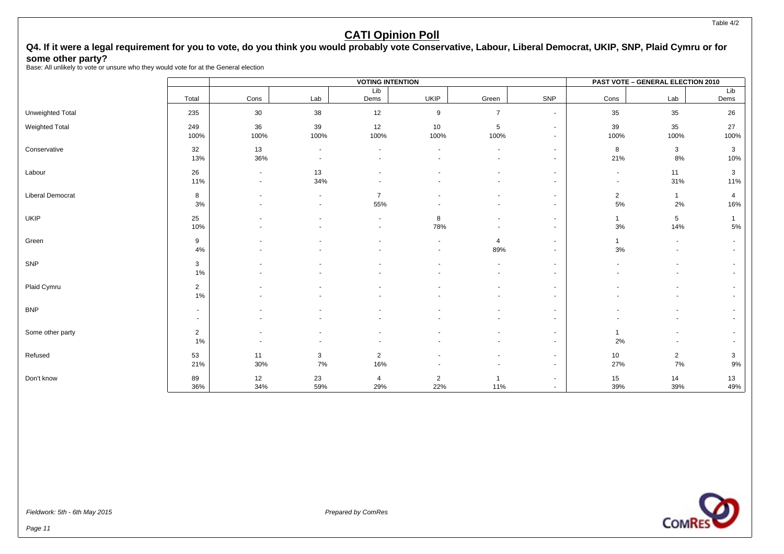#### Q4. If it were a legal requirement for you to vote, do you think you would probably vote Conservative, Labour, Liberal Democrat, UKIP, SNP, Plaid Cymru or for **some other party?**

Base: All unlikely to vote or unsure who they would vote for at the General election

|                       |                |                          |                          | <b>VOTING INTENTION</b> |                |                          |                |                | <b>PAST VOTE - GENERAL ELECTION 2010</b> |              |
|-----------------------|----------------|--------------------------|--------------------------|-------------------------|----------------|--------------------------|----------------|----------------|------------------------------------------|--------------|
|                       |                |                          |                          | Lib                     |                |                          |                |                |                                          | Lib          |
|                       | Total          | Cons                     | Lab                      | Dems                    | <b>UKIP</b>    | Green                    | SNP            | Cons           | Lab                                      | Dems         |
| Unweighted Total      | 235            | 30                       | 38                       | 12                      | 9              | $\overline{7}$           | $\sim$         | 35             | 35                                       | 26           |
| <b>Weighted Total</b> | 249            | 36                       | 39                       | 12                      | 10             | $\mathbf 5$              | $\sim$         | 39             | 35                                       | 27           |
|                       | 100%           | 100%                     | 100%                     | 100%                    | 100%           | 100%                     |                | 100%           | 100%                                     | 100%         |
| Conservative          | 32             | 13                       | $\overline{\phantom{a}}$ | $\blacksquare$          |                |                          | $\sim$         | 8              | 3                                        | 3            |
|                       | 13%            | 36%                      |                          |                         |                |                          |                | 21%            | 8%                                       | 10%          |
| Labour                | 26             | $\overline{\phantom{a}}$ | 13                       |                         |                |                          | $\sim$         | $\sim$         | 11                                       | $\mathbf{3}$ |
|                       | 11%            | $\overline{\phantom{a}}$ | 34%                      |                         |                |                          |                | $\sim$         | 31%                                      | 11%          |
| Liberal Democrat      | 8              |                          |                          | $\overline{7}$          |                |                          |                | $\overline{2}$ | $\mathbf{1}$                             | 4            |
|                       | 3%             |                          |                          | 55%                     |                |                          |                | $5\%$          | 2%                                       | 16%          |
| <b>UKIP</b>           | 25             |                          |                          |                         | 8              |                          | $\sim$         | $\mathbf{1}$   | $\sqrt{5}$                               |              |
|                       | 10%            |                          |                          |                         | 78%            |                          |                | $3%$           | 14%                                      | $5\%$        |
| Green                 | 9              |                          |                          |                         | $\overline{a}$ | $\overline{4}$           |                | $\mathbf{1}$   | $\overline{\phantom{a}}$                 |              |
|                       | 4%             |                          |                          |                         |                | 89%                      |                | 3%             |                                          |              |
| SNP                   | 3              |                          |                          |                         |                |                          | $\sim$         |                |                                          |              |
|                       | 1%             |                          |                          |                         |                | $\overline{\phantom{a}}$ | $\sim$         |                |                                          |              |
| Plaid Cymru           | 2              |                          |                          |                         |                |                          | $\overline{a}$ |                |                                          |              |
|                       | 1%             |                          |                          |                         |                |                          |                |                |                                          |              |
| <b>BNP</b>            | $\blacksquare$ |                          |                          |                         |                |                          |                |                |                                          |              |
|                       | $\sim$         |                          |                          |                         |                |                          |                |                |                                          |              |
| Some other party      | $\overline{2}$ |                          |                          |                         |                |                          |                | $\mathbf{1}$   |                                          |              |
|                       | 1%             |                          |                          |                         |                |                          | $\sim$         | 2%             | ٠                                        |              |
| Refused               | 53             | 11                       | 3                        | $\overline{2}$          |                |                          | $\sim$         | 10             | $\sqrt{2}$                               | 3            |
|                       | 21%            | 30%                      | 7%                       | 16%                     |                |                          |                | 27%            | 7%                                       | 9%           |
| Don't know            | 89             | 12                       | 23                       | 4                       | $\overline{2}$ | $\overline{1}$           |                | 15             | 14                                       | 13           |
|                       | 36%            | 34%                      | 59%                      | 29%                     | 22%            | 11%                      |                | 39%            | 39%                                      | 49%          |



Page 11

Table 4/2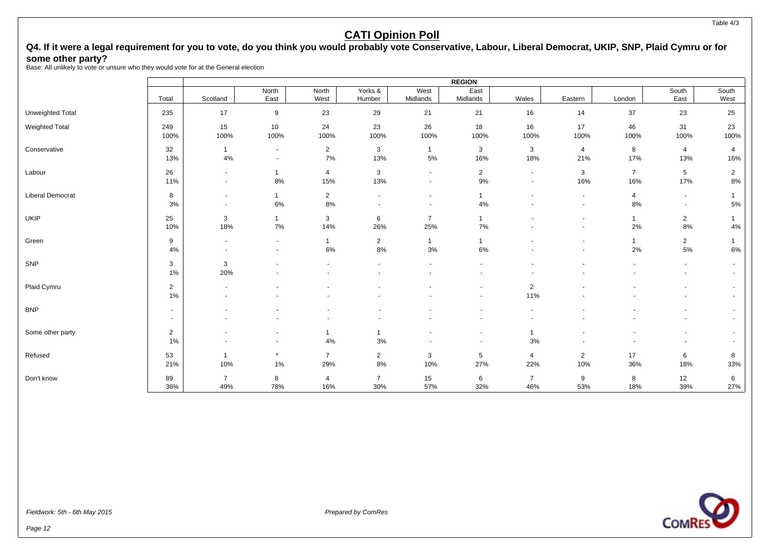#### Table 4/3

#### **CATI Opinion Poll**

#### Q4. If it were a legal requirement for you to vote, do you think you would probably vote Conservative, Labour, Liberal Democrat, UKIP, SNP, Plaid Cymru or for **some other party?**

Base: All unlikely to vote or unsure who they would vote for at the General election

|                         |                |                |                          |                |                |                          | <b>REGION</b>            |                          |                          |                |                          |                          |
|-------------------------|----------------|----------------|--------------------------|----------------|----------------|--------------------------|--------------------------|--------------------------|--------------------------|----------------|--------------------------|--------------------------|
|                         |                |                | North                    | North          | Yorks &        | West                     | East                     |                          |                          |                | South                    | South                    |
|                         | Total          | Scotland       | East                     | West           | Humber         | Midlands                 | Midlands                 | Wales                    | Eastern                  | London         | East                     | West                     |
| <b>Unweighted Total</b> | 235            | 17             | 9                        | 23             | 29             | 21                       | 21                       | 16                       | 14                       | 37             | 23                       | 25                       |
| Weighted Total          | 249            | 15             | 10                       | 24             | 23             | 26                       | 18                       | 16                       | 17                       | 46             | 31                       | 23                       |
|                         | 100%           | 100%           | 100%                     | 100%           | 100%           | 100%                     | 100%                     | 100%                     | 100%                     | 100%           | 100%                     | 100%                     |
| Conservative            | 32             | $\mathbf{1}$   | $\sim$                   | $\overline{2}$ | 3              | $\mathbf{1}$             | 3                        | 3                        | 4                        | 8              | $\overline{4}$           | 4                        |
|                         | 13%            | 4%             | $\sim$                   | 7%             | 13%            | 5%                       | 16%                      | 18%                      | 21%                      | 17%            | 13%                      | 16%                      |
| Labour                  | 26             | $\sim$         | $\mathbf{1}$             | $\overline{4}$ | 3              | $\blacksquare$           | $\overline{2}$           | $\overline{\phantom{a}}$ | 3                        | $\overline{7}$ | $5\phantom{.0}$          | $\overline{2}$           |
|                         | 11%            | $\sim$         | $8\%$                    | 15%            | 13%            | $\overline{\phantom{a}}$ | 9%                       | $\overline{\phantom{a}}$ | 16%                      | 16%            | 17%                      | 8%                       |
| Liberal Democrat        | 8              | $\sim$         | $\mathbf{1}$             | $\overline{2}$ | $\blacksquare$ | $\overline{\phantom{a}}$ |                          |                          | $\blacksquare$           | 4              | $\overline{\phantom{a}}$ |                          |
|                         | 3%             |                | 6%                       | 8%             |                | $\blacksquare$           | 4%                       |                          | $\blacksquare$           | 8%             | $\sim$                   | 5%                       |
| <b>UKIP</b>             | 25             | 3              | $\mathbf{1}$             | 3              | 6              | $\overline{7}$           | $\overline{1}$           |                          |                          | $\mathbf{1}$   | $\overline{2}$           |                          |
|                         | 10%            | 18%            | $7\%$                    | 14%            | 26%            | 25%                      | 7%                       |                          |                          | 2%             | 8%                       | $4\%$                    |
| Green                   | 9              |                | $\sim$                   | $\mathbf{1}$   | $\overline{2}$ | $\mathbf{1}$             | $\mathbf{1}$             |                          | $\overline{\phantom{a}}$ | $\mathbf{1}$   | $\overline{a}$           |                          |
|                         | 4%             |                | $\overline{\phantom{a}}$ | 6%             | 8%             | 3%                       | 6%                       |                          |                          | 2%             | $5\%$                    | 6%                       |
| SNP                     | 3              | 3              |                          |                | ٠              | $\blacksquare$           | ٠                        |                          |                          |                | $\blacksquare$           |                          |
|                         | 1%             | 20%            |                          |                | ٠              | $\blacksquare$           | $\overline{\phantom{a}}$ | $\overline{\phantom{a}}$ |                          |                | $\overline{\phantom{a}}$ | $\overline{\phantom{a}}$ |
| Plaid Cymru             | 2              |                |                          |                |                |                          | $\overline{\phantom{a}}$ | $\overline{2}$           |                          |                |                          |                          |
|                         | 1%             |                |                          |                |                |                          | $\overline{\phantom{a}}$ | 11%                      |                          |                |                          |                          |
| <b>BNP</b>              | $\blacksquare$ |                |                          |                |                |                          |                          |                          |                          |                |                          |                          |
|                         | $\sim$         |                |                          |                |                |                          |                          |                          |                          |                |                          |                          |
| Some other party        | $\overline{2}$ |                |                          | $\mathbf{1}$   | $\mathbf{1}$   |                          | $\overline{\phantom{a}}$ | $\mathbf{1}$             |                          |                |                          |                          |
|                         | 1%             |                | $\overline{\phantom{a}}$ | 4%             | 3%             |                          | $\overline{\phantom{a}}$ | 3%                       |                          |                | $\overline{\phantom{a}}$ |                          |
| Refused                 | 53             | -1             | $\star$                  | $\overline{7}$ | $\overline{2}$ | 3                        | 5                        | 4                        | $\overline{2}$           | 17             | 6                        | 8                        |
|                         | 21%            | 10%            | $1\%$                    | 29%            | 8%             | 10%                      | 27%                      | 22%                      | 10%                      | 36%            | 18%                      | 33%                      |
| Don't know              | 89             | $\overline{7}$ | 8                        | $\overline{4}$ | $\overline{7}$ | 15                       | 6                        | $\overline{7}$           | 9                        | 8              | 12                       | 6                        |
|                         | 36%            | 49%            | 78%                      | 16%            | 30%            | 57%                      | 32%                      | 46%                      | 53%                      | 18%            | 39%                      | 27%                      |

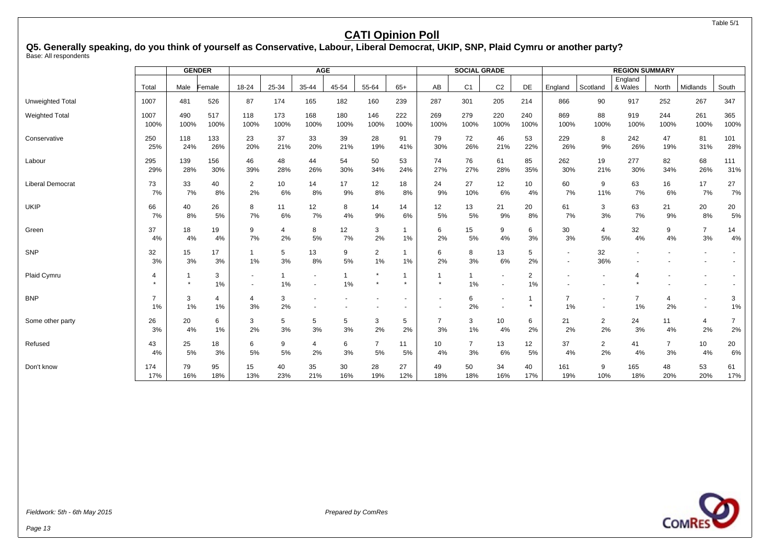#### Table 5/1

### **CATI Opinion Poll**

**Q5. Generally speaking, do you think of yourself as Conservative, Labour, Liberal Democrat, UKIP, SNP, Plaid Cymru or another party?** Base: All respondents

|                         |                      | <b>GENDER</b> |            |             |         | <b>AGE</b>                         |         |                      |         |                        | <b>SOCIAL GRADE</b> |                                            |                      |                                    |                | <b>REGION SUMMARY</b> |                      |                                                      |                |
|-------------------------|----------------------|---------------|------------|-------------|---------|------------------------------------|---------|----------------------|---------|------------------------|---------------------|--------------------------------------------|----------------------|------------------------------------|----------------|-----------------------|----------------------|------------------------------------------------------|----------------|
|                         | Total                |               |            | 18-24       | 25-34   | 35-44                              | 45-54   | 55-64                | $65+$   |                        |                     | C <sub>2</sub>                             | DE                   |                                    |                | England<br>& Wales    |                      | Midlands                                             | South          |
|                         |                      | Male          | Female     |             |         |                                    |         |                      |         | AB                     | C <sub>1</sub>      |                                            |                      | England                            | Scotland       |                       | North                |                                                      |                |
| <b>Unweighted Total</b> | 1007                 | 481           | 526        | 87          | 174     | 165                                | 182     | 160                  | 239     | 287                    | 301                 | 205                                        | 214                  | 866                                | 90             | 917                   | 252                  | 267                                                  | 347            |
| <b>Weighted Total</b>   | 1007                 | 490           | 517        | 118         | 173     | 168                                | 180     | 146                  | 222     | 269                    | 279                 | 220                                        | 240                  | 869                                | 88             | 919                   | 244                  | 261                                                  | 365            |
|                         | 100%                 | 100%          | 100%       | 100%        | 100%    | 100%                               | 100%    | 100%                 | 100%    | 100%                   | 100%                | 100%                                       | 100%                 | 100%                               | 100%           | 100%                  | 100%                 | 100%                                                 | 100%           |
| Conservative            | 250                  | 118           | 133        | 23          | 37      | 33                                 | 39      | 28                   | 91      | 79                     | 72                  | 46                                         | 53                   | 229                                | 8              | 242                   | 47                   | 81                                                   | 101            |
|                         | 25%                  | 24%           | 26%        | 20%         | 21%     | 20%                                | 21%     | 19%                  | 41%     | 30%                    | 26%                 | 21%                                        | 22%                  | 26%                                | 9%             | 26%                   | 19%                  | 31%                                                  | 28%            |
| Labour                  | 295                  | 139           | 156        | 46          | 48      | 44                                 | 54      | 50                   | 53      | 74                     | 76                  | 61                                         | 85                   | 262                                | 19             | 277                   | 82                   | 68                                                   | 111            |
|                         | 29%                  | 28%           | 30%        | 39%         | 28%     | 26%                                | 30%     | 34%                  | 24%     | 27%                    | 27%                 | 28%                                        | 35%                  | 30%                                | 21%            | 30%                   | 34%                  | 26%                                                  | 31%            |
| <b>Liberal Democrat</b> | 73                   | 33            | 40         | 2           | 10      | 14                                 | 17      | 12                   | 18      | 24                     | 27                  | 12                                         | 10 <sup>°</sup>      | 60                                 | 9              | 63                    | 16                   | 17                                                   | 27             |
|                         | 7%                   | 7%            | 8%         | 2%          | 6%      | 8%                                 | 9%      | 8%                   | 8%      | 9%                     | 10%                 | 6%                                         | 4%                   | 7%                                 | 11%            | 7%                    | 6%                   | 7%                                                   | 7%             |
| <b>UKIP</b>             | 66                   | 40            | 26         | 8           | 11      | 12                                 | 8       | 14                   | 14      | 12                     | 13                  | 21                                         | 20                   | 61                                 | 3              | 63                    | 21                   | 20                                                   | 20             |
|                         | 7%                   | 8%            | 5%         | 7%          | 6%      | 7%                                 | 4%      | 9%                   | 6%      | 5%                     | 5%                  | 9%                                         | 8%                   | 7%                                 | 3%             | 7%                    | 9%                   | 8%                                                   | 5%             |
| Green                   | 37                   | 18            | 19         | 9           | 4       | 8                                  | 12      | 3                    | 1       | 6                      | 15                  | 9                                          | 6                    | 30                                 | 4              | 32                    | 9                    | $\overline{7}$                                       | 14             |
|                         | 4%                   | 4%            | 4%         | 7%          | 2%      | 5%                                 | 7%      | 2%                   | 1%      | 2%                     | 5%                  | 4%                                         | 3%                   | 3%                                 | 5%             | 4%                    | 4%                   | 3%                                                   | 4%             |
| SNP                     | 32<br>3%             | 15<br>3%      | 17<br>3%   | -1<br>$1\%$ | 5<br>3% | 13<br>8%                           | 9<br>5% | $\overline{2}$<br>1% | 1<br>1% | 6<br>2%                | 8<br>3%             | 13<br>6%                                   | 5<br>2%              | $\overline{\phantom{a}}$<br>$\sim$ | 32<br>36%      |                       |                      | $\blacksquare$<br>$\overline{\phantom{a}}$           |                |
| Plaid Cymru             | 4                    |               | 3<br>1%    |             | 1<br>1% | $\sim$<br>$\overline{\phantom{a}}$ | 1%      | $\star$<br>$\star$   | -1      | $\mathbf 1$<br>$\star$ | 1%                  | $\blacksquare$<br>$\overline{\phantom{a}}$ | $\overline{2}$<br>1% | ٠                                  |                |                       |                      |                                                      |                |
| <b>BNP</b>              | $\overline{ }$<br>1% | 3<br>1%       | 4<br>$1\%$ | 4<br>3%     | 3<br>2% |                                    |         |                      | $\sim$  | $\blacksquare$         | 6<br>2%             | $\sim$                                     | $\star$              | $\overline{7}$<br>1%               |                | $\overline{7}$<br>1%  | $\overline{4}$<br>2% | $\overline{\phantom{a}}$<br>$\overline{\phantom{a}}$ | 3<br>1%        |
| Some other party        | 26                   | 20            | 6          | 3           | 5       | 5                                  | 5       | 3                    | 5       | 7                      | 3                   | 10                                         | 6                    | 21                                 | $\overline{2}$ | 24                    | 11                   | 4                                                    | $\overline{7}$ |
|                         | 3%                   | 4%            | $1\%$      | 2%          | 3%      | 3%                                 | 3%      | 2%                   | 2%      | 3%                     | 1%                  | 4%                                         | 2%                   | 2%                                 | 2%             | 3%                    | 4%                   | 2%                                                   | 2%             |
| Refused                 | 43                   | 25            | 18         | 6           | 9       | 4                                  | 6       | 7                    | 11      | 10                     | $\overline{7}$      | 13                                         | 12                   | 37                                 | $\overline{2}$ | 41                    | $\overline{7}$       | 10                                                   | 20             |
|                         | 4%                   | 5%            | 3%         | 5%          | 5%      | 2%                                 | 3%      | 5%                   | 5%      | 4%                     | 3%                  | 6%                                         | 5%                   | 4%                                 | 2%             | 4%                    | 3%                   | 4%                                                   | 6%             |
| Don't know              | 174                  | 79            | 95         | 15          | 40      | 35                                 | 30      | 28                   | 27      | 49                     | 50                  | 34                                         | 40                   | 161                                | 9              | 165                   | 48                   | 53                                                   | 61             |
|                         | 17%                  | 16%           | 18%        | 13%         | 23%     | 21%                                | 16%     | 19%                  | 12%     | 18%                    | 18%                 | 16%                                        | 17%                  | 19%                                | 10%            | 18%                   | 20%                  | 20%                                                  | 17%            |

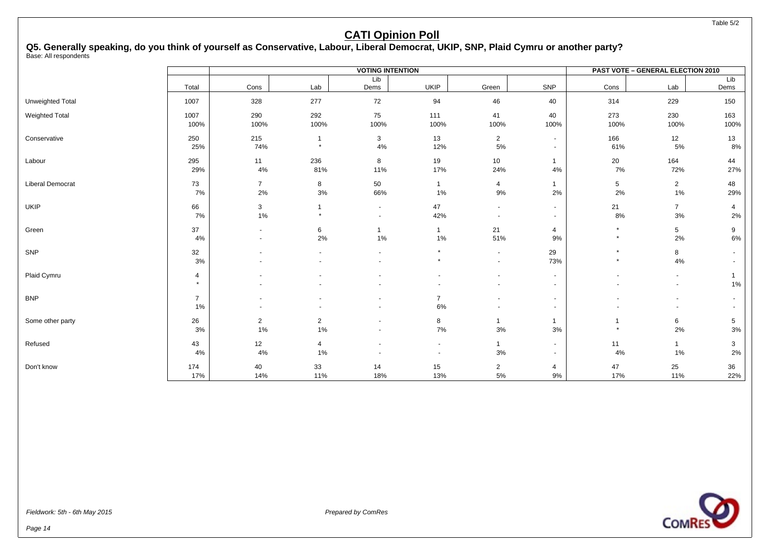Table 5/2

### **CATI Opinion Poll**

**Q5. Generally speaking, do you think of yourself as Conservative, Labour, Liberal Democrat, UKIP, SNP, Plaid Cymru or another party?** Base: All respondents

|                  |                           |                      |                         | <b>VOTING INTENTION</b>            |                                                      |                                    |                                    |                    | <b>PAST VOTE - GENERAL ELECTION 2010</b> |                      |
|------------------|---------------------------|----------------------|-------------------------|------------------------------------|------------------------------------------------------|------------------------------------|------------------------------------|--------------------|------------------------------------------|----------------------|
|                  | Total                     | Cons                 | Lab                     | Lib<br>Dems                        | <b>UKIP</b>                                          | Green                              | SNP                                | Cons               | Lab                                      | Lib<br>Dems          |
| Unweighted Total | 1007                      | 328                  | 277                     | 72                                 | 94                                                   | 46                                 | 40                                 | 314                | 229                                      | 150                  |
| Weighted Total   | 1007<br>100%              | 290<br>100%          | 292<br>100%             | 75<br>100%                         | 111<br>100%                                          | 41<br>100%                         | 40<br>100%                         | 273<br>100%        | 230<br>100%                              | 163<br>100%          |
| Conservative     | 250<br>25%                | 215<br>74%           | $\mathbf{1}$<br>$\star$ | 3<br>4%                            | 13<br>12%                                            | $\overline{2}$<br>5%               | $\sim$<br>$\overline{\phantom{a}}$ | 166<br>61%         | 12<br>5%                                 | 13<br>8%             |
| Labour           | 295<br>29%                | 11<br>4%             | 236<br>81%              | 8<br>11%                           | 19<br>17%                                            | 10<br>24%                          | $\mathbf{1}$<br>4%                 | 20<br>7%           | 164<br>72%                               | 44<br>27%            |
| Liberal Democrat | 73<br>7%                  | $\overline{7}$<br>2% | 8<br>3%                 | 50<br>66%                          | $\mathbf{1}$<br>1%                                   | 4<br>9%                            | $\mathbf{1}$<br>2%                 | 5<br>2%            | $\overline{2}$<br>1%                     | 48<br>29%            |
| <b>UKIP</b>      | 66<br>7%                  | 3<br>1%              | 1                       | $\sim$<br>$\overline{\phantom{a}}$ | 47<br>42%                                            | $\sim$<br>$\overline{\phantom{a}}$ | $\sim$<br>$\sim$                   | 21<br>8%           | $\overline{7}$<br>3%                     | $\overline{4}$<br>2% |
| Green            | 37<br>4%                  |                      | 6<br>2%                 | 1<br>$1\%$                         | $\mathbf{1}$<br>1%                                   | 21<br>51%                          | 4<br>9%                            | $\star$<br>$\star$ | $\sqrt{5}$<br>2%                         | 9<br>6%              |
| SNP              | 32<br>3%                  |                      |                         | $\overline{\phantom{a}}$<br>$\sim$ | $\star$<br>$\star$                                   | $\sim$<br>$\sim$                   | 29<br>73%                          | $\star$<br>$\star$ | 8<br>4%                                  |                      |
| Plaid Cymru      | $\overline{4}$<br>$\star$ |                      |                         |                                    |                                                      |                                    | $\sim$                             |                    | $\blacksquare$                           | 1%                   |
| <b>BNP</b>       | $\overline{7}$<br>1%      |                      |                         |                                    | $\overline{7}$<br>6%                                 |                                    | $\sim$                             |                    | $\overline{\phantom{a}}$                 |                      |
| Some other party | 26<br>3%                  | $\overline{c}$<br>1% | $\overline{2}$<br>1%    |                                    | 8<br>7%                                              | 1<br>$3%$                          | $\mathbf{1}$<br>$3%$               | $\star$            | 6<br>2%                                  | 5<br>$3%$            |
| Refused          | 43<br>4%                  | 12<br>4%             | 4<br>1%                 |                                    | $\overline{\phantom{a}}$<br>$\overline{\phantom{a}}$ | 1<br>3%                            | $\sim$<br>$\sim$                   | 11<br>$4\%$        | $\mathbf{1}$<br>1%                       | 3<br>2%              |
| Don't know       | 174<br>17%                | 40<br>14%            | 33<br>11%               | 14<br>18%                          | 15<br>13%                                            | $\overline{2}$<br>$5\%$            | 4<br>9%                            | 47<br>17%          | 25<br>11%                                | 36<br>22%            |

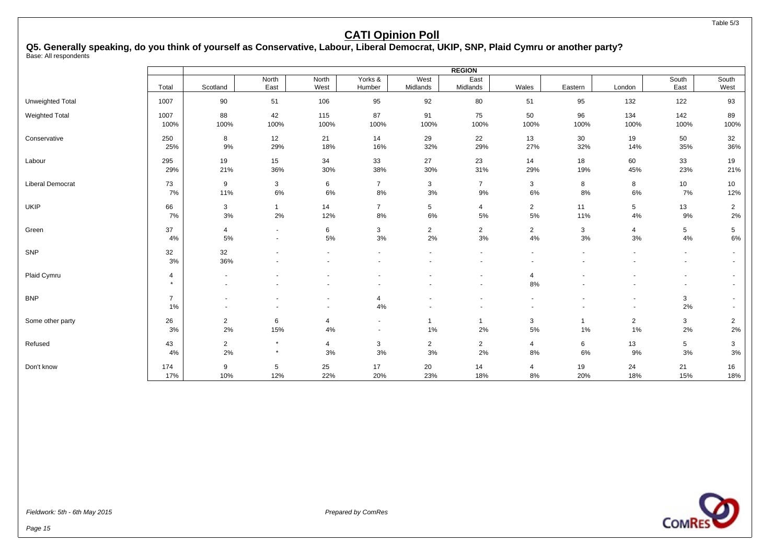#### **Q5. Generally speaking, do you think of yourself as Conservative, Labour, Liberal Democrat, UKIP, SNP, Plaid Cymru or another party?** Base: All respondents

 $\Gamma$ 

|                         |                      |                |                |                                                      |                      |                  | <b>REGION</b>         |                          |         |                                    |                                    |                          |
|-------------------------|----------------------|----------------|----------------|------------------------------------------------------|----------------------|------------------|-----------------------|--------------------------|---------|------------------------------------|------------------------------------|--------------------------|
|                         | Total                | Scotland       | North<br>East  | North<br>West                                        | Yorks &<br>Humber    | West<br>Midlands | East<br>Midlands      | Wales                    | Eastern | London                             | South<br>East                      | South<br>West            |
| Unweighted Total        | 1007                 | 90             | 51             | 106                                                  | 95                   | 92               | 80                    | 51                       | 95      | 132                                | 122                                | 93                       |
| Weighted Total          | 1007                 | 88             | 42             | 115                                                  | 87                   | 91               | 75                    | 50                       | 96      | 134                                | 142                                | 89                       |
|                         | 100%                 | 100%           | 100%           | 100%                                                 | 100%                 | 100%             | 100%                  | 100%                     | 100%    | 100%                               | 100%                               | 100%                     |
| Conservative            | 250                  | 8              | 12             | 21                                                   | 14                   | 29               | 22                    | 13                       | 30      | 19                                 | 50                                 | 32                       |
|                         | 25%                  | 9%             | 29%            | 18%                                                  | 16%                  | 32%              | 29%                   | 27%                      | 32%     | 14%                                | 35%                                | 36%                      |
| Labour                  | 295                  | 19             | 15             | 34                                                   | 33                   | 27               | 23                    | 14                       | 18      | 60                                 | 33                                 | 19                       |
|                         | 29%                  | 21%            | 36%            | 30%                                                  | 38%                  | 30%              | 31%                   | 29%                      | 19%     | 45%                                | 23%                                | 21%                      |
| <b>Liberal Democrat</b> | 73                   | 9              | 3              | 6                                                    | $\overline{7}$       | 3                | $\overline{7}$        | 3                        | 8       | 8                                  | 10 <sup>1</sup>                    | 10                       |
|                         | 7%                   | 11%            | $6\%$          | 6%                                                   | 8%                   | $3%$             | 9%                    | 6%                       | 8%      | 6%                                 | 7%                                 | 12%                      |
| <b>UKIP</b>             | 66                   | 3              | $\mathbf{1}$   | 14                                                   | $\overline{7}$       | 5                | $\overline{4}$        | $\overline{2}$           | 11      | 5                                  | 13                                 | $\overline{2}$           |
|                         | 7%                   | 3%             | 2%             | 12%                                                  | 8%                   | 6%               | 5%                    | 5%                       | 11%     | 4%                                 | 9%                                 | 2%                       |
| Green                   | 37                   | $\overline{4}$ | $\blacksquare$ | 6                                                    | 3                    | $\overline{2}$   | $\mathbf{2}^{\prime}$ | $\overline{2}$           | 3       | $\overline{4}$                     | 5                                  | 5                        |
|                         | 4%                   | 5%             | $\sim$         | 5%                                                   | 3%                   | 2%               | $3%$                  | 4%                       | 3%      | 3%                                 | 4%                                 | 6%                       |
| SNP                     | 32<br>3%             | 32<br>36%      |                |                                                      |                      |                  | $\sim$                | $\overline{\phantom{a}}$ |         | $\overline{\phantom{a}}$           | $\sim$<br>$\overline{\phantom{a}}$ | $\sim$<br>$\sim$         |
| Plaid Cymru             | 4<br>$\star$         |                |                |                                                      |                      |                  |                       | 4<br>8%                  |         |                                    | $\blacksquare$<br>$\sim$           | $\sim$<br>$\blacksquare$ |
| <b>BNP</b>              | $\overline{7}$<br>1% |                |                | $\overline{\phantom{a}}$<br>$\overline{\phantom{a}}$ | $\overline{4}$<br>4% |                  |                       |                          |         | $\overline{\phantom{a}}$<br>$\sim$ | 3<br>2%                            | $\sim$<br>$\sim$         |
| Some other party        | 26                   | $\overline{2}$ | 6              | $\overline{4}$                                       | $\sim$               | 1                | $\mathbf{1}$          | 3                        | 1       | $\overline{2}$                     | 3                                  | $\overline{2}$           |
|                         | 3%                   | 2%             | 15%            | 4%                                                   | $\sim$               | $1\%$            | 2%                    | $5\%$                    | 1%      | 1%                                 | 2%                                 | 2%                       |
| Refused                 | 43                   | $\overline{2}$ | $\pmb{\ast}$   | $\overline{4}$                                       | $\mathbf{3}$         | $\overline{2}$   | $\overline{2}$        | 4                        | 6       | 13                                 | 5                                  | 3                        |
|                         | 4%                   | 2%             | $\star$        | 3%                                                   | 3%                   | $3%$             | $2\%$                 | 8%                       | 6%      | 9%                                 | 3%                                 | 3%                       |
| Don't know              | 174                  | 9              | $\sqrt{5}$     | 25                                                   | 17                   | 20               | 14                    | 4                        | 19      | 24                                 | 21                                 | 16                       |
|                         | 17%                  | 10%            | 12%            | 22%                                                  | 20%                  | 23%              | 18%                   | 8%                       | 20%     | 18%                                | 15%                                | 18%                      |

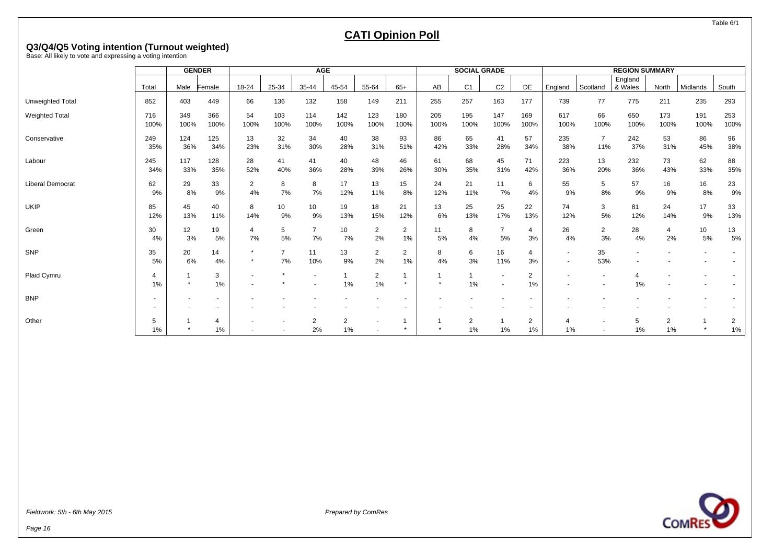Table 6/1

### **CATI Opinion Poll**

# **Q3/Q4/Q5 Voting intention (Turnout weighted)** Base: All likely to vote and expressing a voting intention

|                         |             |             | <b>GENDER</b>            |                    |                      | <b>AGE</b>           |             |                          |             |             | <b>SOCIAL GRADE</b> |                                            |                      |                                    |                       | <b>REGION SUMMARY</b> |                      |             |             |
|-------------------------|-------------|-------------|--------------------------|--------------------|----------------------|----------------------|-------------|--------------------------|-------------|-------------|---------------------|--------------------------------------------|----------------------|------------------------------------|-----------------------|-----------------------|----------------------|-------------|-------------|
|                         |             |             |                          |                    |                      |                      |             |                          |             |             |                     |                                            |                      |                                    |                       | England               |                      |             |             |
|                         | Total       | Male        | Female                   | 18-24              | 25-34                | 35-44                | 45-54       | 55-64                    | $65+$       | AB          | C <sub>1</sub>      | C <sub>2</sub>                             | DE                   | England                            | Scotland              | & Wales               | North                | Midlands    | South       |
| Unweighted Total        | 852         | 403         | 449                      | 66                 | 136                  | 132                  | 158         | 149                      | 211         | 255         | 257                 | 163                                        | 177                  | 739                                | 77                    | 775                   | 211                  | 235         | 293         |
| <b>Weighted Total</b>   | 716<br>100% | 349<br>100% | 366<br>100%              | 54<br>100%         | 103<br>100%          | 114<br>100%          | 142<br>100% | 123<br>100%              | 180<br>100% | 205<br>100% | 195<br>100%         | 147<br>100%                                | 169<br>100%          | 617<br>100%                        | 66<br>100%            | 650<br>100%           | 173<br>100%          | 191<br>100% | 253<br>100% |
| Conservative            | 249<br>35%  | 124<br>36%  | 125<br>34%               | 13<br>23%          | 32<br>31%            | 34<br>30%            | 40<br>28%   | 38<br>31%                | 93<br>51%   | 86<br>42%   | 65<br>33%           | 41<br>28%                                  | 57<br>34%            | 235<br>38%                         | $\overline{7}$<br>11% | 242<br>37%            | 53<br>31%            | 86<br>45%   | 96<br>38%   |
| Labour                  | 245<br>34%  | 117<br>33%  | 128<br>35%               | 28<br>52%          | 41<br>40%            | 41<br>36%            | 40<br>28%   | 48<br>39%                | 46<br>26%   | 61<br>30%   | 68<br>35%           | 45<br>31%                                  | 71<br>42%            | 223<br>36%                         | 13<br>20%             | 232<br>36%            | 73<br>43%            | 62<br>33%   | 88<br>35%   |
| <b>Liberal Democrat</b> | 62<br>9%    | 29<br>8%    | 33<br>9%                 | 2<br>4%            | 8<br>7%              | 8<br>7%              | 17<br>12%   | 13<br>11%                | 15<br>8%    | 24<br>12%   | 21<br>11%           | 11<br>7%                                   | 6<br>4%              | 55<br>9%                           | 5<br>8%               | 57<br>9%              | 16<br>9%             | 16<br>8%    | 23<br>9%    |
| <b>UKIP</b>             | 85<br>12%   | 45<br>13%   | 40<br>11%                | 8<br>14%           | 10<br>9%             | 10<br>9%             | 19<br>13%   | 18<br>15%                | 21<br>12%   | 13<br>6%    | 25<br>13%           | 25<br>17%                                  | 22<br>13%            | 74<br>12%                          | 3<br>5%               | 81<br>12%             | 24<br>14%            | 17<br>9%    | 33<br>13%   |
| Green                   | 30<br>4%    | 12<br>3%    | 19<br>5%                 | 4<br>7%            | 5<br>5%              | $\overline{7}$<br>7% | 10<br>7%    | 2<br>2%                  | 2<br>1%     | 11<br>5%    | 8<br>4%             | $\overline{7}$<br>5%                       | 4<br>3%              | 26<br>4%                           | $\overline{2}$<br>3%  | 28<br>4%              | $\overline{4}$<br>2% | 10<br>5%    | 13<br>5%    |
| SNP                     | 35<br>5%    | 20<br>6%    | 14<br>4%                 | $\star$<br>$\star$ | $\overline{7}$<br>7% | 11<br>10%            | 13<br>9%    | $\overline{2}$<br>2%     | 2<br>1%     | 8<br>4%     | 6<br>3%             | 16<br>11%                                  | 4<br>3%              | $\sim$<br>$\overline{\phantom{a}}$ | 35<br>53%             |                       |                      |             |             |
| Plaid Cymru             | 1%          |             | 3<br>$1\%$               |                    |                      |                      | $1\%$       | $\overline{2}$<br>1%     |             | $\star$     | 1%                  | $\overline{\phantom{a}}$<br>$\blacksquare$ | $\overline{2}$<br>1% |                                    |                       | 1%                    |                      |             |             |
| <b>BNP</b>              |             |             | $\overline{\phantom{a}}$ |                    |                      |                      |             |                          |             |             |                     |                                            |                      |                                    |                       |                       |                      |             |             |
| Other                   | 5<br>$1\%$  |             | 4<br>$1\%$               |                    |                      | $\overline{2}$<br>2% | 2<br>1%     | $\overline{\phantom{a}}$ |             |             | 2<br>1%             | $1\%$                                      | 2<br>$1\%$           | 4<br>1%                            |                       | 5<br>1%               | 2<br>1%              |             | 2<br>$1\%$  |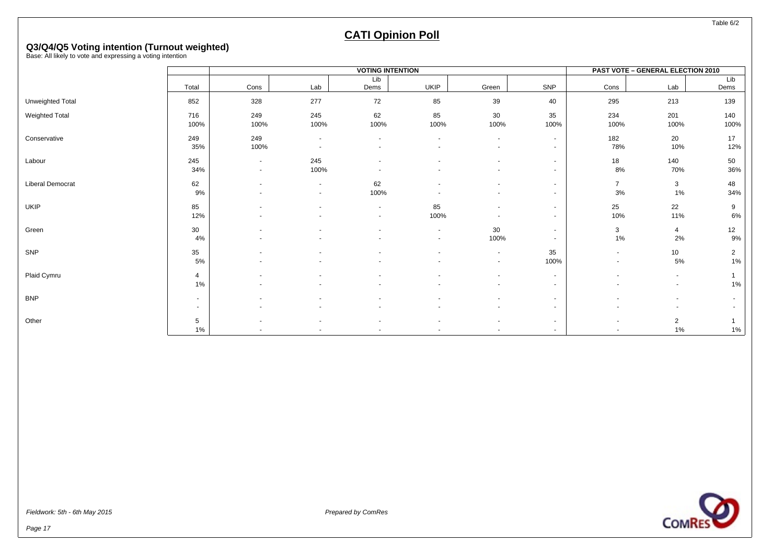Table 6/2

### **CATI Opinion Poll**

# **Q3/Q4/Q5 Voting intention (Turnout weighted)** Base: All likely to vote and expressing a voting intention

|                  |                          |                          |                                            | <b>VOTING INTENTION</b>                              |                                                      |                                    |                                    |                      | PAST VOTE - GENERAL ELECTION 2010          |                         |
|------------------|--------------------------|--------------------------|--------------------------------------------|------------------------------------------------------|------------------------------------------------------|------------------------------------|------------------------------------|----------------------|--------------------------------------------|-------------------------|
|                  |                          |                          |                                            | Lib                                                  |                                                      |                                    |                                    |                      |                                            | Lib                     |
|                  | Total                    | Cons                     | Lab                                        | Dems                                                 | <b>UKIP</b>                                          | Green                              | SNP                                | Cons                 | Lab                                        | Dems                    |
| Unweighted Total | 852                      | 328                      | 277                                        | 72                                                   | 85                                                   | 39                                 | 40                                 | 295                  | 213                                        | 139                     |
| Weighted Total   | 716<br>100%              | 249<br>100%              | 245<br>100%                                | 62<br>100%                                           | 85<br>100%                                           | 30<br>100%                         | 35<br>100%                         | 234<br>100%          | 201<br>100%                                | 140<br>100%             |
| Conservative     | 249<br>35%               | 249<br>100%              | $\blacksquare$<br>$\overline{\phantom{a}}$ | $\overline{\phantom{a}}$                             | $\overline{\phantom{a}}$                             | $\sim$<br>$\overline{\phantom{0}}$ | $\sim$<br>$\overline{a}$           | 182<br>78%           | 20<br>10%                                  | 17<br>12%               |
| Labour           | 245<br>34%               | $\sim$<br>$\sim$         | 245<br>100%                                | $\overline{a}$                                       | $\overline{a}$                                       |                                    | $\sim$<br>$\sim$                   | 18<br>8%             | 140<br>70%                                 | 50<br>36%               |
| Liberal Democrat | 62<br>9%                 | $\overline{\phantom{a}}$ | $\overline{\phantom{a}}$<br>$\blacksquare$ | 62<br>100%                                           | $\overline{\phantom{a}}$                             | $\overline{\phantom{a}}$           | $\sim$<br>$\sim$                   | $\overline{7}$<br>3% | 3<br>1%                                    | 48<br>34%               |
| UKIP             | 85<br>12%                | $\blacksquare$           |                                            | $\overline{\phantom{a}}$<br>$\blacksquare$           | 85<br>100%                                           | $\overline{\phantom{a}}$           | $\sim$<br>$\sim$                   | 25<br>10%            | 22<br>11%                                  | 9<br>$6\%$              |
| Green            | 30<br>4%                 | $\overline{\phantom{a}}$ | $\blacksquare$                             | $\blacksquare$<br>$\overline{\phantom{a}}$           | $\overline{\phantom{a}}$<br>$\overline{\phantom{a}}$ | 30<br>100%                         | $\sim$<br>$\overline{\phantom{a}}$ | 3<br>$1\%$           | 4<br>$2\%$                                 | 12<br>9%                |
| SNP              | 35<br>5%                 |                          |                                            |                                                      | $\blacksquare$                                       | $\sim$<br>$\overline{\phantom{a}}$ | 35<br>100%                         | $\sim$               | 10<br>5%                                   | $\overline{2}$<br>$1\%$ |
| Plaid Cymru      | $\overline{4}$<br>1%     | $\overline{\phantom{a}}$ |                                            | $\overline{\phantom{a}}$<br>$\overline{\phantom{a}}$ | $\overline{\phantom{a}}$<br>$\overline{\phantom{a}}$ | $\overline{\phantom{a}}$<br>$\sim$ | $\sim$<br>$\sim$                   |                      | $\blacksquare$<br>$\blacksquare$           | 1%                      |
| <b>BNP</b>       | $\sim$<br>$\sim$         | $\blacksquare$           | $\overline{\phantom{a}}$                   | $\overline{\phantom{a}}$                             | $\blacksquare$<br>$\overline{\phantom{a}}$           | $\overline{\phantom{a}}$           | $\sim$<br>$\sim$                   |                      | $\overline{\phantom{a}}$<br>$\overline{a}$ |                         |
| Other            | $5\phantom{.0}$<br>$1\%$ | $\overline{\phantom{a}}$ | $\blacksquare$                             | $\blacksquare$                                       | $\overline{\phantom{a}}$<br>$\overline{\phantom{a}}$ | $\overline{\phantom{a}}$           | $\sim$                             | $\sim$               | $\overline{2}$<br>$1\%$                    | $1\%$                   |

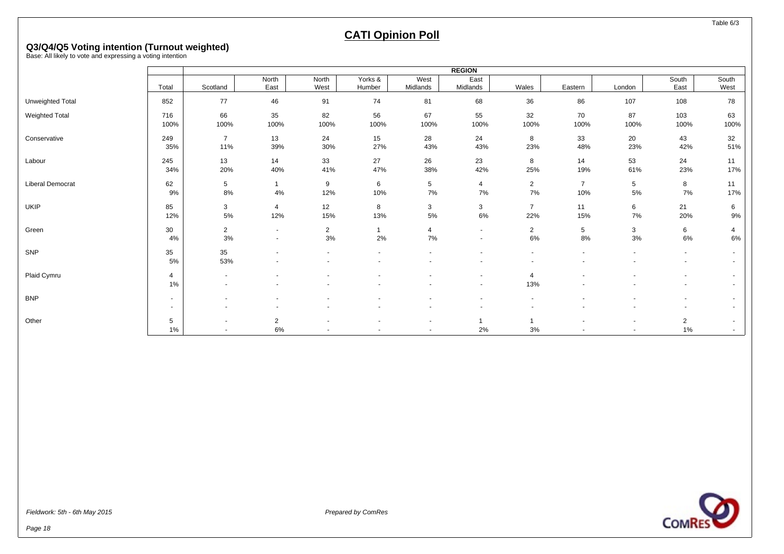Table 6/3

### **CATI Opinion Poll**

# **Q3/Q4/Q5 Voting intention (Turnout weighted)** Base: All likely to vote and expressing a voting intention

|                       |                          |                |                |                |                |          | <b>REGION</b>  |                |                |        |                |                          |
|-----------------------|--------------------------|----------------|----------------|----------------|----------------|----------|----------------|----------------|----------------|--------|----------------|--------------------------|
|                       |                          |                | North          | North          | Yorks &        | West     | East           |                |                |        | South          | South                    |
|                       | Total                    | Scotland       | East           | West           | Humber         | Midlands | Midlands       | Wales          | Eastern        | London | East           | West                     |
| Unweighted Total      | 852                      | 77             | 46             | 91             | 74             | 81       | 68             | 36             | 86             | 107    | 108            | 78                       |
| <b>Weighted Total</b> | 716                      | 66             | 35             | 82             | 56             | 67       | 55             | 32             | 70             | 87     | 103            | 63                       |
|                       | 100%                     | 100%           | 100%           | 100%           | 100%           | 100%     | 100%           | 100%           | 100%           | 100%   | 100%           | 100%                     |
| Conservative          | 249                      | $\overline{7}$ | 13             | 24             | 15             | 28       | 24             | 8              | 33             | 20     | 43             | 32                       |
|                       | 35%                      | 11%            | 39%            | 30%            | 27%            | 43%      | 43%            | 23%            | 48%            | 23%    | 42%            | 51%                      |
| Labour                | 245                      | 13             | 14             | 33             | 27             | 26       | 23             | 8              | 14             | 53     | 24             | 11                       |
|                       | 34%                      | 20%            | 40%            | 41%            | 47%            | 38%      | 42%            | 25%            | 19%            | 61%    | 23%            | 17%                      |
| Liberal Democrat      | 62                       | 5              | $\overline{1}$ | 9              | 6              | 5        | $\overline{4}$ | $\overline{2}$ | $\overline{7}$ | 5      | 8              | 11                       |
|                       | 9%                       | $8\%$          | 4%             | 12%            | 10%            | $7\%$    | 7%             | 7%             | 10%            | 5%     | 7%             | 17%                      |
| UKIP                  | 85                       | 3              | $\overline{4}$ | 12             | 8              | 3        | 3              | $\overline{7}$ | 11             | 6      | 21             | 6                        |
|                       | 12%                      | $5\%$          | 12%            | 15%            | 13%            | $5\%$    | 6%             | 22%            | 15%            | 7%     | 20%            | 9%                       |
| Green                 | 30                       | $\overline{2}$ | $\sim$         | $\overline{2}$ | $\overline{1}$ | 4        | $\sim$         | $\overline{2}$ | 5              | 3      | 6              | 4                        |
|                       | 4%                       | $3%$           | $\sim$         | $3%$           | 2%             | 7%       | $\sim$         | $6\%$          | 8%             | $3%$   | 6%             | 6%                       |
| SNP                   | 35                       | 35             |                |                |                |          |                |                |                |        | $\sim$         | $\sim$                   |
|                       | 5%                       | 53%            | $\overline{a}$ |                |                |          | ٠              | $\sim$         |                |        | $\sim$         | $\overline{\phantom{0}}$ |
| Plaid Cymru           | 4                        | $\overline{a}$ |                |                |                |          | $\blacksquare$ | 4              |                |        | $\sim$         | $\sim$                   |
|                       | $1\%$                    |                |                |                |                |          |                | 13%            |                |        |                |                          |
| <b>BNP</b>            | $\overline{\phantom{a}}$ |                |                |                |                |          | $\sim$         | $\sim$         |                |        | $\sim$         | $\overline{\phantom{0}}$ |
|                       | $\sim$                   |                |                |                |                |          |                |                |                |        |                | $\sim$                   |
| Other                 | 5                        |                | $\overline{2}$ |                |                |          | -1             |                |                |        | $\overline{2}$ | $\overline{\phantom{0}}$ |
|                       | $1\%$                    |                | $6\%$          |                |                |          | 2%             | 3%             |                |        | $1\%$          | $\sim$                   |

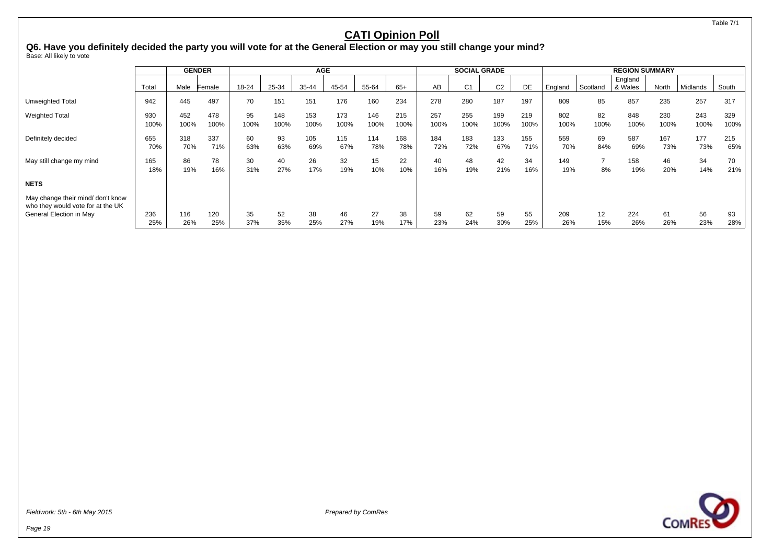#### Table 7/1

#### **CATI Opinion Poll**

Q6. Have you definitely decided the party you will vote for at the General Election or may you still change your mind?<br><sub>Base: All likely to vote</sub>

|                                                                        |       |      | <b>GENDER</b> |       |       | <b>AGE</b> |       |       |       |      | <b>SOCIAL GRADE</b> |                |      |         |          | <b>REGION SUMMARY</b> |       |          |       |
|------------------------------------------------------------------------|-------|------|---------------|-------|-------|------------|-------|-------|-------|------|---------------------|----------------|------|---------|----------|-----------------------|-------|----------|-------|
|                                                                        |       |      |               |       |       |            |       |       |       |      |                     |                |      |         |          | England               |       |          |       |
|                                                                        | Total | Male | Female        | 18-24 | 25-34 | 35-44      | 45-54 | 55-64 | $65+$ | AB   | C1                  | C <sub>2</sub> | DE   | England | Scotland | & Wales               | North | Midlands | South |
| Unweighted Total                                                       | 942   | 445  | 497           | 70    | 151   | 151        | 176   | 160   | 234   | 278  | 280                 | 187            | 197  | 809     | 85       | 857                   | 235   | 257      | 317   |
| <b>Weighted Total</b>                                                  | 930   | 452  | 478           | 95    | 148   | 153        | 173   | 146   | 215   | 257  | 255                 | 199            | 219  | 802     | 82       | 848                   | 230   | 243      | 329   |
|                                                                        | 100%  | 100% | 100%          | 100%  | 100%  | 100%       | 100%  | 100%  | 100%  | 100% | 100%                | 100%           | 100% | 100%    | 100%     | 100%                  | 100%  | 100%     | 100%  |
| Definitely decided                                                     | 655   | 318  | 337           | 60    | 93    | 105        | 115   | 114   | 168   | 184  | 183                 | 133            | 155  | 559     | 69       | 587                   | 167   | 177      | 215   |
|                                                                        | 70%   | 70%  | 71%           | 63%   | 63%   | 69%        | 67%   | 78%   | 78%   | 72%  | 72%                 | 67%            | 71%  | 70%     | 84%      | 69%                   | 73%   | 73%      | 65%   |
| May still change my mind                                               | 165   | 86   | 78            | 30    | 40    | 26         | 32    | 15    | 22    | 40   | 48                  | 42             | 34   | 149     | ⇁        | 158                   | 46    | 34       | 70    |
|                                                                        | 18%   | 19%  | 16%           | 31%   | 27%   | 17%        | 19%   | 10%   | 10%   | 16%  | 19%                 | 21%            | 16%  | 19%     | 8%       | 19%                   | 20%   | 14%      | 21%   |
| <b>NETS</b>                                                            |       |      |               |       |       |            |       |       |       |      |                     |                |      |         |          |                       |       |          |       |
| May change their mind/ don't know<br>who they would vote for at the UK |       |      |               |       |       |            |       |       |       |      |                     |                |      |         |          |                       |       |          |       |
| General Election in May                                                | 236   | 116  | 120           | 35    | 52    | 38         | 46    | 27    | 38    | 59   | 62                  | 59             | 55   | 209     | 12       | 224                   | 61    | 56       | 93    |
|                                                                        | 25%   | 26%  | 25%           | 37%   | 35%   | 25%        | 27%   | 19%   | 17%   | 23%  | 24%                 | 30%            | 25%  | 26%     | 15%      | 26%                   | 26%   | 23%      | 28%   |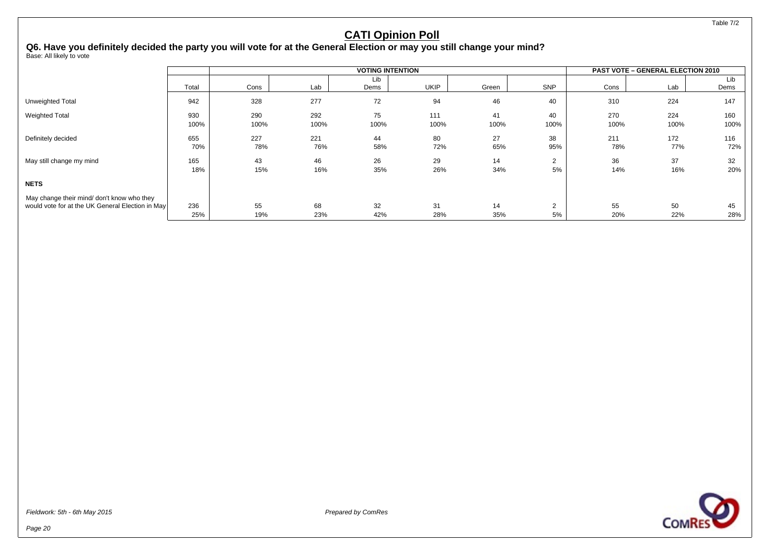Table 7/2

#### **CATI Opinion Poll**

Q6. Have you definitely decided the party you will vote for at the General Election or may you still change your mind?<br><sub>Base: All likely to vote</sub>

|                                                  |       |      |      | <b>VOTING INTENTION</b> |      |       |                |      | <b>PAST VOTE - GENERAL ELECTION 2010</b> |      |
|--------------------------------------------------|-------|------|------|-------------------------|------|-------|----------------|------|------------------------------------------|------|
|                                                  |       |      |      | Lib                     |      |       |                |      |                                          | Lib  |
|                                                  | Total | Cons | Lab  | Dems                    | UKIP | Green | <b>SNP</b>     | Cons | Lab                                      | Dems |
| Unweighted Total                                 | 942   | 328  | 277  | 72                      | 94   | 46    | 40             | 310  | 224                                      | 147  |
| <b>Weighted Total</b>                            | 930   | 290  | 292  | 75                      | 111  | 41    | 40             | 270  | 224                                      | 160  |
|                                                  | 100%  | 100% | 100% | 100%                    | 100% | 100%  | 100%           | 100% | 100%                                     | 100% |
| Definitely decided                               | 655   | 227  | 221  | 44                      | 80   | 27    | 38             | 211  | 172                                      | 116  |
|                                                  | 70%   | 78%  | 76%  | 58%                     | 72%  | 65%   | 95%            | 78%  | 77%                                      | 72%  |
| May still change my mind                         | 165   | 43   | 46   | 26                      | 29   | 14    | $\overline{2}$ | 36   | 37                                       | 32   |
|                                                  | 18%   | 15%  | 16%  | 35%                     | 26%  | 34%   | 5%             | 14%  | 16%                                      | 20%  |
| <b>NETS</b>                                      |       |      |      |                         |      |       |                |      |                                          |      |
| May change their mind/don't know who they        |       |      |      |                         |      |       |                |      |                                          |      |
| would vote for at the UK General Election in May | 236   | 55   | 68   | 32                      | 31   | 14    | $\overline{2}$ | 55   | 50                                       | 45   |
|                                                  | 25%   | 19%  | 23%  | 42%                     | 28%  | 35%   | 5%             | 20%  | 22%                                      | 28%  |

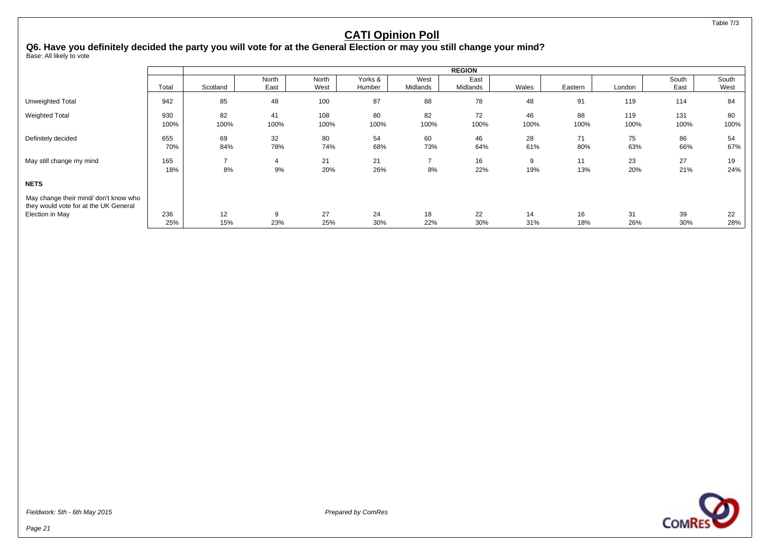**COMRES** 

#### **CATI Opinion Poll**

Q6. Have you definitely decided the party you will vote for at the General Election or may you still change your mind?<br><sub>Base: All likely to vote</sub>

|                                                                                |             |            |               |               |                   |                  | <b>REGION</b>    |            |            |             |               |               |
|--------------------------------------------------------------------------------|-------------|------------|---------------|---------------|-------------------|------------------|------------------|------------|------------|-------------|---------------|---------------|
|                                                                                | Total       | Scotland   | North<br>East | North<br>West | Yorks &<br>Humber | West<br>Midlands | East<br>Midlands | Wales      | Eastern    | London      | South<br>East | South<br>West |
| Unweighted Total                                                               | 942         | 85         | 48            | 100           | 87                | 88               | 78               | 48         | 91         | 119         | 114           | 84            |
| <b>Weighted Total</b>                                                          | 930<br>100% | 82<br>100% | 41<br>100%    | 108<br>100%   | 80<br>100%        | 82<br>100%       | 72<br>100%       | 46<br>100% | 88<br>100% | 119<br>100% | 131<br>100%   | 80<br>100%    |
| Definitely decided                                                             | 655<br>70%  | 69<br>84%  | 32<br>78%     | 80<br>74%     | 54<br>68%         | 60<br>73%        | 46<br>64%        | 28<br>61%  | 71<br>80%  | 75<br>63%   | 86<br>66%     | 54<br>67%     |
| May still change my mind                                                       | 165<br>18%  | 8%         | 4<br>9%       | 21<br>20%     | 21<br>26%         | ⇁<br>8%          | 16<br>22%        | 9<br>19%   | 11<br>13%  | 23<br>20%   | 27<br>21%     | 19<br>24%     |
| <b>NETS</b>                                                                    |             |            |               |               |                   |                  |                  |            |            |             |               |               |
| May change their mind/ don't know who<br>they would vote for at the UK General |             |            |               |               |                   |                  |                  |            |            |             |               |               |
| Election in May                                                                | 236         | 12         | 9             | 27            | 24                | 18               | 22               | 14         | 16         | 31          | 39            | 22            |
|                                                                                | 25%         | 15%        | 23%           | 25%           | 30%               | 22%              | 30%              | 31%        | 18%        | 26%         | 30%           | 28%           |

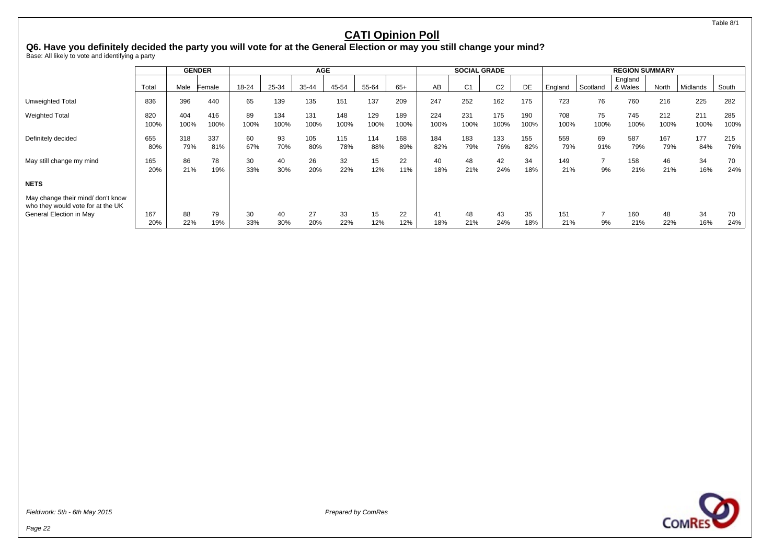Table 8/1

#### **CATI Opinion Poll**

Q6. Have you definitely decided the party you will vote for at the General Election or may you still change your mind?<br><sub>Base: All likely to vote and identifying a party</sub>

|                                                                        |             |             | <b>GENDER</b> |            |             | <b>AGE</b>  |             |             |             |             | <b>SOCIAL GRADE</b> |                |             |             |            | <b>REGION SUMMARY</b> |             |             |             |
|------------------------------------------------------------------------|-------------|-------------|---------------|------------|-------------|-------------|-------------|-------------|-------------|-------------|---------------------|----------------|-------------|-------------|------------|-----------------------|-------------|-------------|-------------|
|                                                                        | Total       | Male        | Female        | 18-24      | 25-34       | 35-44       | 45-54       | 55-64       | $65+$       | AB          | C <sub>1</sub>      | C <sub>2</sub> | DE          | England     | Scotland   | England<br>8 Wales    | North       | Midlands    | South       |
| Unweighted Total                                                       | 836         | 396         | 440           | 65         | 139         | 135         | 151         | 137         | 209         | 247         | 252                 | 162            | 175         | 723         | 76         | 760                   | 216         | 225         | 282         |
| <b>Weighted Total</b>                                                  | 820<br>100% | 404<br>100% | 416<br>100%   | 89<br>100% | 134<br>100% | 131<br>100% | 148<br>100% | 129<br>100% | 189<br>100% | 224<br>100% | 231<br>100%         | 175<br>100%    | 190<br>100% | 708<br>100% | 75<br>100% | 745<br>100%           | 212<br>100% | 211<br>100% | 285<br>100% |
| Definitely decided                                                     | 655<br>80%  | 318<br>79%  | 337<br>81%    | 60<br>67%  | 93<br>70%   | 105<br>80%  | 115<br>78%  | 114<br>88%  | 168<br>89%  | 184<br>82%  | 183<br>79%          | 133<br>76%     | 155<br>82%  | 559<br>79%  | 69<br>91%  | 587<br>79%            | 167<br>79%  | 177<br>84%  | 215<br>76%  |
| May still change my mind                                               | 165<br>20%  | 86<br>21%   | 78<br>19%     | 30<br>33%  | 40<br>30%   | 26<br>20%   | 32<br>22%   | 15<br>12%   | 22<br>11%   | 40<br>18%   | 48<br>21%           | 42<br>24%      | 34<br>18%   | 149<br>21%  | 9%         | 158<br>21%            | 46<br>21%   | 34<br>16%   | 70<br>24%   |
| <b>NETS</b>                                                            |             |             |               |            |             |             |             |             |             |             |                     |                |             |             |            |                       |             |             |             |
| May change their mind/ don't know<br>who they would vote for at the UK |             |             |               |            |             |             |             |             |             |             |                     |                |             |             |            |                       |             |             |             |
| General Election in May                                                | 167<br>20%  | 88<br>22%   | 79<br>19%     | 30<br>33%  | 40<br>30%   | 27<br>20%   | 33<br>22%   | 15<br>12%   | 22<br>12%   | 41<br>18%   | 48<br>21%           | 43<br>24%      | 35<br>18%   | 151<br>21%  | 9%         | 160<br>21%            | 48<br>22%   | 34<br>16%   | 70<br>24%   |



**COMRES**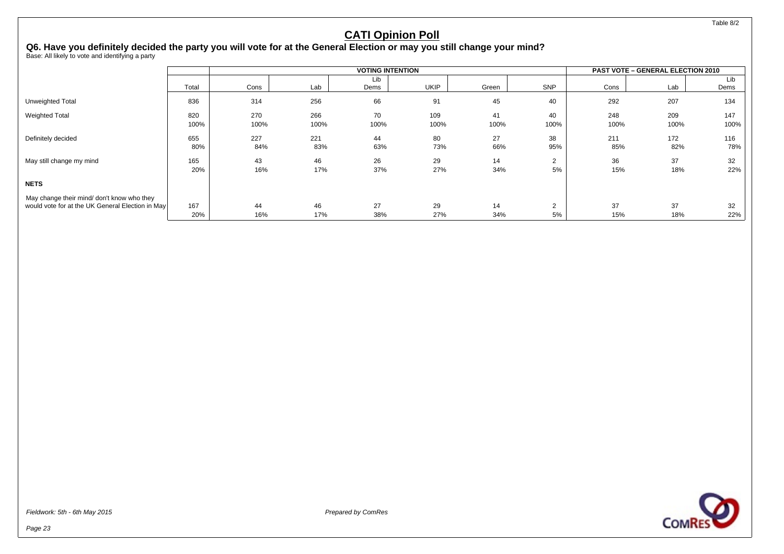Table 8/2

#### **CATI Opinion Poll**

# Q6. Have you definitely decided the party you will vote for at the General Election or may you still change your mind?<br><sub>Base: All likely to vote and identifying a party</sub>

|                                                  |       |      |      | <b>VOTING INTENTION</b> |             |       |                |      | <b>PAST VOTE - GENERAL ELECTION 2010</b> |             |
|--------------------------------------------------|-------|------|------|-------------------------|-------------|-------|----------------|------|------------------------------------------|-------------|
|                                                  | Total | Cons | Lab  | Lib<br>Dems             | <b>UKIP</b> | Green | SNP            | Cons | Lab                                      | Lib<br>Dems |
| Unweighted Total                                 | 836   | 314  | 256  | 66                      | 91          | 45    | 40             | 292  | 207                                      | 134         |
| <b>Weighted Total</b>                            | 820   | 270  | 266  | 70                      | 109         | 41    | 40             | 248  | 209                                      | 147         |
|                                                  | 100%  | 100% | 100% | 100%                    | 100%        | 100%  | 100%           | 100% | 100%                                     | 100%        |
| Definitely decided                               | 655   | 227  | 221  | 44                      | 80          | 27    | 38             | 211  | 172                                      | 116         |
|                                                  | 80%   | 84%  | 83%  | 63%                     | 73%         | 66%   | 95%            | 85%  | 82%                                      | 78%         |
| May still change my mind                         | 165   | 43   | 46   | 26                      | 29          | 14    | $\overline{2}$ | 36   | 37                                       | 32          |
|                                                  | 20%   | 16%  | 17%  | 37%                     | 27%         | 34%   | 5%             | 15%  | 18%                                      | 22%         |
| <b>NETS</b>                                      |       |      |      |                         |             |       |                |      |                                          |             |
| May change their mind/ don't know who they       | 167   | 44   | 46   | 27                      | 29          | 14    | $\overline{2}$ | 37   | 37                                       | 32          |
| would vote for at the UK General Election in May | 20%   | 16%  | 17%  | 38%                     | 27%         | 34%   | 5%             | 15%  | 18%                                      | 22%         |

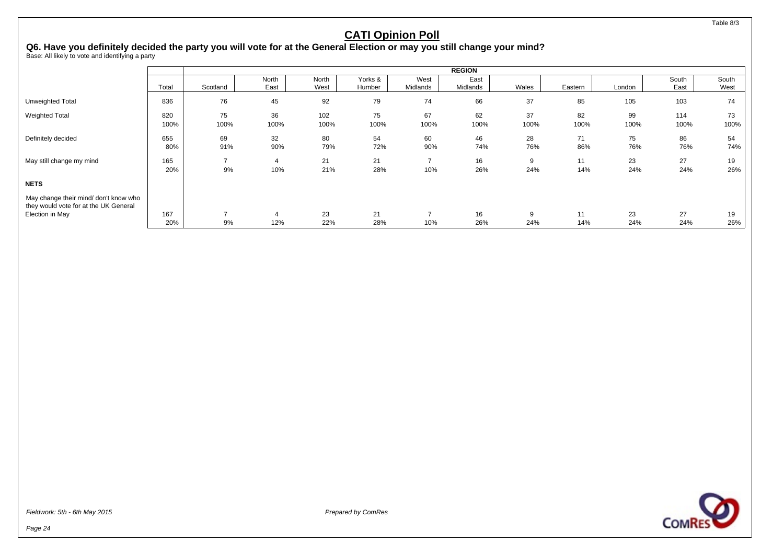Table 8/3

#### **CATI Opinion Poll**

# Q6. Have you definitely decided the party you will vote for at the General Election or may you still change your mind?<br><sub>Base: All likely to vote and identifying a party</sub>

|                                                                                |       | <b>REGION</b> |       |       |         |          |          |       |         |        |       |       |
|--------------------------------------------------------------------------------|-------|---------------|-------|-------|---------|----------|----------|-------|---------|--------|-------|-------|
|                                                                                |       |               | North | North | Yorks & | West     | East     |       |         |        | South | South |
|                                                                                | Total | Scotland      | East  | West  | Humber  | Midlands | Midlands | Wales | Eastern | London | East  | West  |
| Unweighted Total                                                               | 836   | 76            | 45    | 92    | 79      | 74       | 66       | 37    | 85      | 105    | 103   | 74    |
| <b>Weighted Total</b>                                                          | 820   | 75            | 36    | 102   | 75      | 67       | 62       | 37    | 82      | 99     | 114   | 73    |
|                                                                                | 100%  | 100%          | 100%  | 100%  | 100%    | 100%     | 100%     | 100%  | 100%    | 100%   | 100%  | 100%  |
| Definitely decided                                                             | 655   | 69            | 32    | 80    | 54      | 60       | 46       | 28    | 71      | 75     | 86    | 54    |
|                                                                                | 80%   | 91%           | 90%   | 79%   | 72%     | 90%      | 74%      | 76%   | 86%     | 76%    | 76%   | 74%   |
| May still change my mind                                                       | 165   |               | 4     | 21    | 21      | -        | 16       | 9     | 11      | 23     | 27    | 19    |
|                                                                                | 20%   | 9%            | 10%   | 21%   | 28%     | 10%      | 26%      | 24%   | 14%     | 24%    | 24%   | 26%   |
| <b>NETS</b>                                                                    |       |               |       |       |         |          |          |       |         |        |       |       |
| May change their mind/ don't know who<br>they would vote for at the UK General |       |               |       |       |         |          |          |       |         |        |       |       |
| Election in May                                                                | 167   |               | 4     | 23    | 21      |          | 16       | 9     | 11      | 23     | 27    | 19    |
|                                                                                | 20%   | 9%            | 12%   | 22%   | 28%     | 10%      | 26%      | 24%   | 14%     | 24%    | 24%   | 26%   |

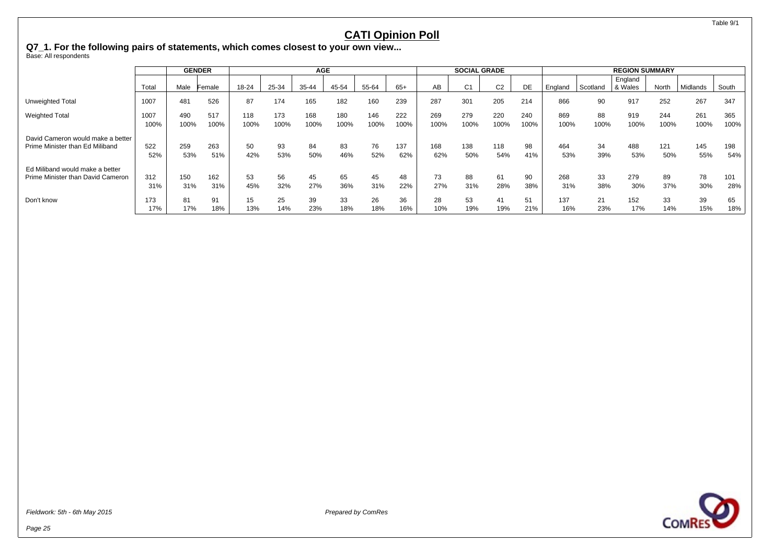Table 9/1

### **CATI Opinion Poll**

**Q7\_1. For the following pairs of statements, which comes closest to your own view...**

Base: All respondents

|                                   |       |      | <b>GENDER</b> |       | <b>AGE</b> |       |       |       |       | <b>SOCIAL GRADE</b> |                |                | <b>REGION SUMMARY</b> |         |          |                      |       |                 |       |
|-----------------------------------|-------|------|---------------|-------|------------|-------|-------|-------|-------|---------------------|----------------|----------------|-----------------------|---------|----------|----------------------|-------|-----------------|-------|
|                                   | Total | Male | Female        | 18-24 | 25-34      | 35-44 | 45-54 | 55-64 | $65+$ | AB                  | C <sub>1</sub> | C <sub>2</sub> | DE                    | England | Scotland | England<br>. & Wales | North | <b>Midlands</b> | South |
| Unweighted Total                  | 1007  | 481  | 526           | 87    | 174        | 165   | 182   | 160   | 239   | 287                 | 301            | 205            | 214                   | 866     | 90       | 917                  | 252   | 267             | 347   |
| <b>Weighted Total</b>             | 1007  | 490  | 517           | 118   | 173        | 168   | 180   | 146   | 222   | 269                 | 279            | 220            | 240                   | 869     | 88       | 919                  | 244   | 261             | 365   |
|                                   | 100%  | 100% | 100%          | 100%  | 100%       | 100%  | 100%  | 100%  | 100%  | 100%                | 100%           | 100%           | 100%                  | 100%    | 100%     | 100%                 | 100%  | 100%            | 100%  |
| David Cameron would make a better |       |      |               |       |            |       |       |       |       |                     |                |                |                       |         |          |                      |       |                 |       |
| Prime Minister than Ed Miliband   | 522   | 259  | 263           | 50    | 93         | 84    | 83    | 76    | 137   | 168                 | 138            | 118            | 98                    | 464     | 34       | 488                  | 121   | 145             | 198   |
|                                   | 52%   | 53%  | 51%           | 42%   | 53%        | 50%   | 46%   | 52%   | 62%   | 62%                 | 50%            | 54%            | 41%                   | 53%     | 39%      | 53%                  | 50%   | 55%             | 54%   |
| Ed Miliband would make a better   |       |      |               |       |            |       |       |       |       |                     |                |                |                       |         |          |                      |       |                 |       |
| Prime Minister than David Cameron | 312   | 150  | 162           | 53    | 56         | 45    | 65    | 45    | 48    | 73                  | 88             | 61             | 90                    | 268     | 33       | 279                  | 89    | 78              | 101   |
|                                   | 31%   | 31%  | 31%           | 45%   | 32%        | 27%   | 36%   | 31%   | 22%   | 27%                 | 31%            | 28%            | 38%                   | 31%     | 38%      | 30%                  | 37%   | 30%             | 28%   |
| Don't know                        | 173   | 81   | 91            | 15    | 25         | 39    | 33    | 26    | 36    | 28                  | 53             | 41             | 51                    | 137     | 21       | 152                  | 33    | 39              | 65    |
|                                   | 17%   | 17%  | 18%           | 13%   | 14%        | 23%   | 18%   | 18%   | 16%   | 10%                 | 19%            | 19%            | 21%                   | 16%     | 23%      | 17%                  | 14%   | 15%             | 18%   |

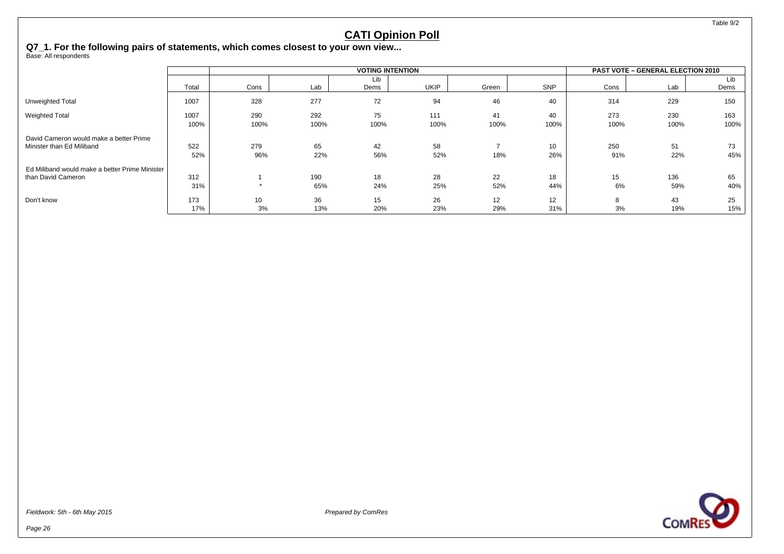Table 9/2

#### **CATI Opinion Poll**

**Q7\_1. For the following pairs of statements, which comes closest to your own view...**

Base: All respondents

|                                                |       | <b>VOTING INTENTION</b> |      |      |      |       |      |      | <b>PAST VOTE - GENERAL ELECTION 2010</b> |      |  |  |
|------------------------------------------------|-------|-------------------------|------|------|------|-------|------|------|------------------------------------------|------|--|--|
|                                                |       |                         |      | Lib  |      |       |      |      |                                          | Lib  |  |  |
|                                                | Total | Cons                    | Lab  | Dems | UKIP | Green | SNP  | Cons | Lab                                      | Dems |  |  |
| Unweighted Total                               | 1007  | 328                     | 277  | 72   | 94   | 46    | 40   | 314  | 229                                      | 150  |  |  |
| <b>Weighted Total</b>                          | 1007  | 290                     | 292  | 75   | 111  | 41    | 40   | 273  | 230                                      | 163  |  |  |
|                                                | 100%  | 100%                    | 100% | 100% | 100% | 100%  | 100% | 100% | 100%                                     | 100% |  |  |
| David Cameron would make a better Prime        |       |                         |      |      |      |       |      |      |                                          |      |  |  |
| Minister than Ed Miliband                      | 522   | 279                     | 65   | 42   | 58   |       | 10   | 250  | 51                                       | 73   |  |  |
|                                                | 52%   | 96%                     | 22%  | 56%  | 52%  | 18%   | 26%  | 91%  | 22%                                      | 45%  |  |  |
| Ed Miliband would make a better Prime Minister |       |                         |      |      |      |       |      |      |                                          |      |  |  |
| than David Cameron                             | 312   |                         | 190  | 18   | 28   | 22    | 18   | 15   | 136                                      | 65   |  |  |
|                                                | 31%   | $\star$                 | 65%  | 24%  | 25%  | 52%   | 44%  | 6%   | 59%                                      | 40%  |  |  |
| Don't know                                     | 173   | 10                      | 36   | 15   | 26   | 12    | 12   | 8    | 43                                       | 25   |  |  |
|                                                | 17%   | 3%                      | 13%  | 20%  | 23%  | 29%   | 31%  | 3%   | 19%                                      | 15%  |  |  |



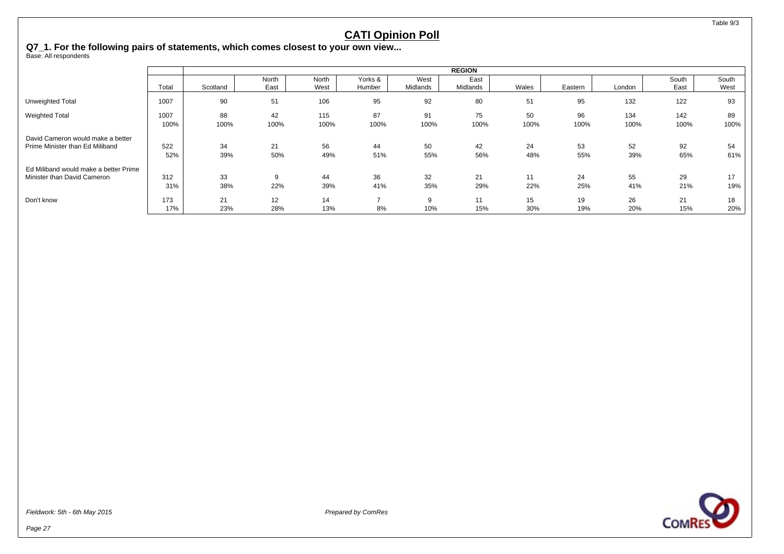Table 9/3

#### **CATI Opinion Poll**

**Q7\_1. For the following pairs of statements, which comes closest to your own view...**

Base: All respondents

|                                       |       | <b>REGION</b> |       |       |         |          |          |       |         |        |       |       |
|---------------------------------------|-------|---------------|-------|-------|---------|----------|----------|-------|---------|--------|-------|-------|
|                                       |       |               | North | North | Yorks & | West     | East     |       |         |        | South | South |
|                                       | Total | Scotland      | East  | West  | Humber  | Midlands | Midlands | Wales | Eastern | London | East  | West  |
| Unweighted Total                      | 1007  | 90            | 51    | 106   | 95      | 92       | 80       | 51    | 95      | 132    | 122   | 93    |
| <b>Weighted Total</b>                 | 1007  | 88            | 42    | 115   | 87      | 91       | 75       | 50    | 96      | 134    | 142   | 89    |
|                                       | 100%  | 100%          | 100%  | 100%  | 100%    | 100%     | 100%     | 100%  | 100%    | 100%   | 100%  | 100%  |
| David Cameron would make a better     |       |               |       |       |         |          |          |       |         |        |       |       |
| Prime Minister than Ed Miliband       | 522   | 34            | 21    | 56    | 44      | 50       | 42       | 24    | 53      | 52     | 92    | 54    |
|                                       | 52%   | 39%           | 50%   | 49%   | 51%     | 55%      | 56%      | 48%   | 55%     | 39%    | 65%   | 61%   |
| Ed Miliband would make a better Prime |       |               |       |       |         |          |          |       |         |        |       |       |
| Minister than David Cameron           | 312   | 33            | 9     | 44    | 36      | 32       | 21       | 11    | 24      | 55     | 29    | 17    |
|                                       | 31%   | 38%           | 22%   | 39%   | 41%     | 35%      | 29%      | 22%   | 25%     | 41%    | 21%   | 19%   |
| Don't know                            | 173   | 21            | 12    | 14    | -       | 9        | 11       | 15    | 19      | 26     | 21    | 18    |
|                                       | 17%   | 23%           | 28%   | 13%   | 8%      | 10%      | 15%      | 30%   | 19%     | 20%    | 15%   | 20%   |